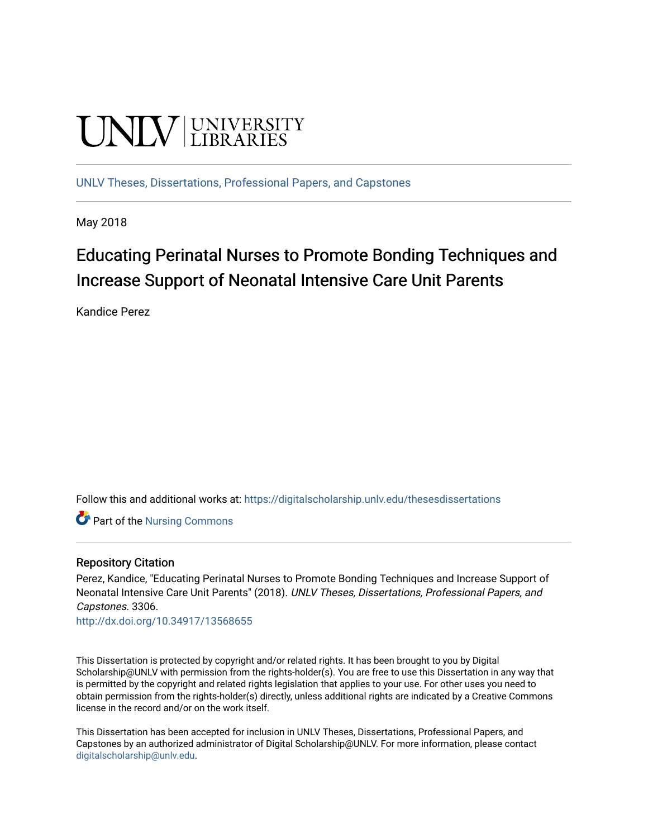# **UNIVERSITY**

[UNLV Theses, Dissertations, Professional Papers, and Capstones](https://digitalscholarship.unlv.edu/thesesdissertations)

May 2018

# Educating Perinatal Nurses to Promote Bonding Techniques and Increase Support of Neonatal Intensive Care Unit Parents

Kandice Perez

Follow this and additional works at: [https://digitalscholarship.unlv.edu/thesesdissertations](https://digitalscholarship.unlv.edu/thesesdissertations?utm_source=digitalscholarship.unlv.edu%2Fthesesdissertations%2F3306&utm_medium=PDF&utm_campaign=PDFCoverPages)

Part of the [Nursing Commons](http://network.bepress.com/hgg/discipline/718?utm_source=digitalscholarship.unlv.edu%2Fthesesdissertations%2F3306&utm_medium=PDF&utm_campaign=PDFCoverPages) 

#### Repository Citation

Perez, Kandice, "Educating Perinatal Nurses to Promote Bonding Techniques and Increase Support of Neonatal Intensive Care Unit Parents" (2018). UNLV Theses, Dissertations, Professional Papers, and Capstones. 3306.

<http://dx.doi.org/10.34917/13568655>

This Dissertation is protected by copyright and/or related rights. It has been brought to you by Digital Scholarship@UNLV with permission from the rights-holder(s). You are free to use this Dissertation in any way that is permitted by the copyright and related rights legislation that applies to your use. For other uses you need to obtain permission from the rights-holder(s) directly, unless additional rights are indicated by a Creative Commons license in the record and/or on the work itself.

This Dissertation has been accepted for inclusion in UNLV Theses, Dissertations, Professional Papers, and Capstones by an authorized administrator of Digital Scholarship@UNLV. For more information, please contact [digitalscholarship@unlv.edu](mailto:digitalscholarship@unlv.edu).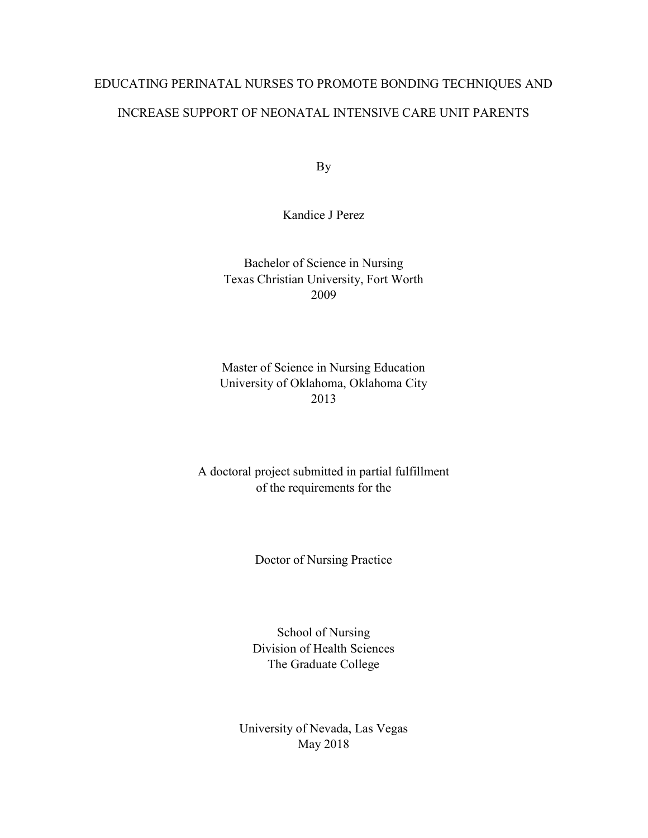# EDUCATING PERINATAL NURSES TO PROMOTE BONDING TECHNIQUES AND INCREASE SUPPORT OF NEONATAL INTENSIVE CARE UNIT PARENTS

By

Kandice J Perez

Bachelor of Science in Nursing Texas Christian University, Fort Worth 2009

Master of Science in Nursing Education University of Oklahoma, Oklahoma City 2013

A doctoral project submitted in partial fulfillment of the requirements for the

Doctor of Nursing Practice

School of Nursing Division of Health Sciences The Graduate College

University of Nevada, Las Vegas May 2018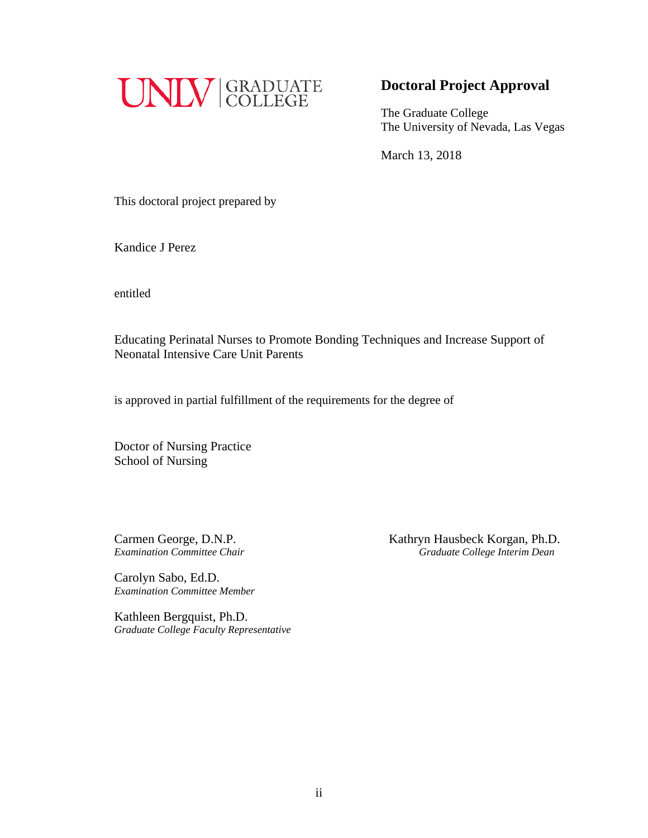

## **Doctoral Project Approval**

The Graduate College The University of Nevada, Las Vegas

March 13, 2018

This doctoral project prepared by

Kandice J Perez

entitled

Educating Perinatal Nurses to Promote Bonding Techniques and Increase Support of Neonatal Intensive Care Unit Parents

is approved in partial fulfillment of the requirements for the degree of

Doctor of Nursing Practice School of Nursing

Carolyn Sabo, Ed.D. *Examination Committee Member*

Kathleen Bergquist, Ph.D. *Graduate College Faculty Representative*

Carmen George, D.N.P.<br> *Examination Committee Chair*<br> *Craduate College Interim Dean Examination Committee Chair Graduate College Interim Dean*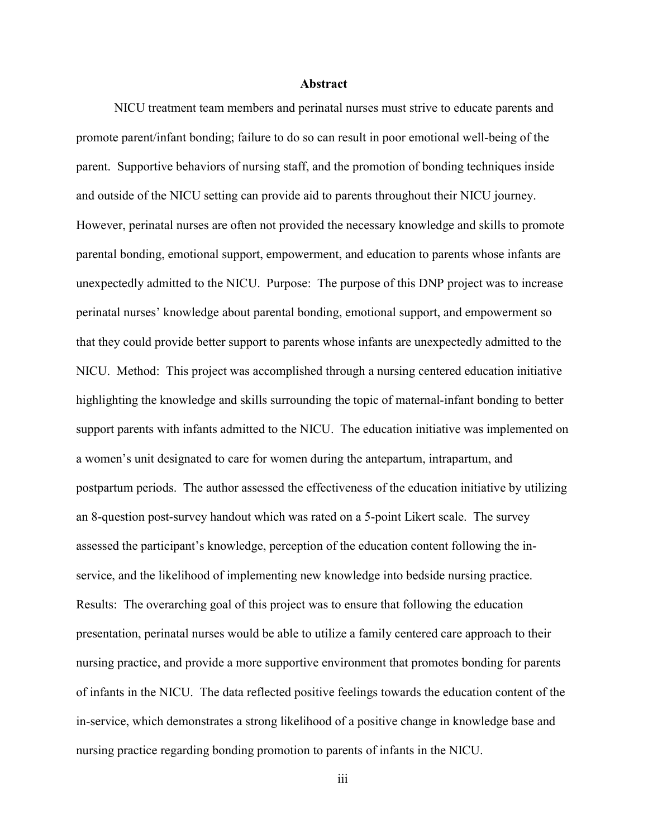#### Abstract

NICU treatment team members and perinatal nurses must strive to educate parents and promote parent/infant bonding; failure to do so can result in poor emotional well-being of the parent. Supportive behaviors of nursing staff, and the promotion of bonding techniques inside and outside of the NICU setting can provide aid to parents throughout their NICU journey. However, perinatal nurses are often not provided the necessary knowledge and skills to promote parental bonding, emotional support, empowerment, and education to parents whose infants are unexpectedly admitted to the NICU. Purpose: The purpose of this DNP project was to increase perinatal nurses' knowledge about parental bonding, emotional support, and empowerment so that they could provide better support to parents whose infants are unexpectedly admitted to the NICU. Method: This project was accomplished through a nursing centered education initiative highlighting the knowledge and skills surrounding the topic of maternal-infant bonding to better support parents with infants admitted to the NICU. The education initiative was implemented on a women's unit designated to care for women during the antepartum, intrapartum, and postpartum periods. The author assessed the effectiveness of the education initiative by utilizing an 8-question post-survey handout which was rated on a 5-point Likert scale. The survey assessed the participant's knowledge, perception of the education content following the inservice, and the likelihood of implementing new knowledge into bedside nursing practice. Results: The overarching goal of this project was to ensure that following the education presentation, perinatal nurses would be able to utilize a family centered care approach to their nursing practice, and provide a more supportive environment that promotes bonding for parents of infants in the NICU. The data reflected positive feelings towards the education content of the in-service, which demonstrates a strong likelihood of a positive change in knowledge base and nursing practice regarding bonding promotion to parents of infants in the NICU.

iii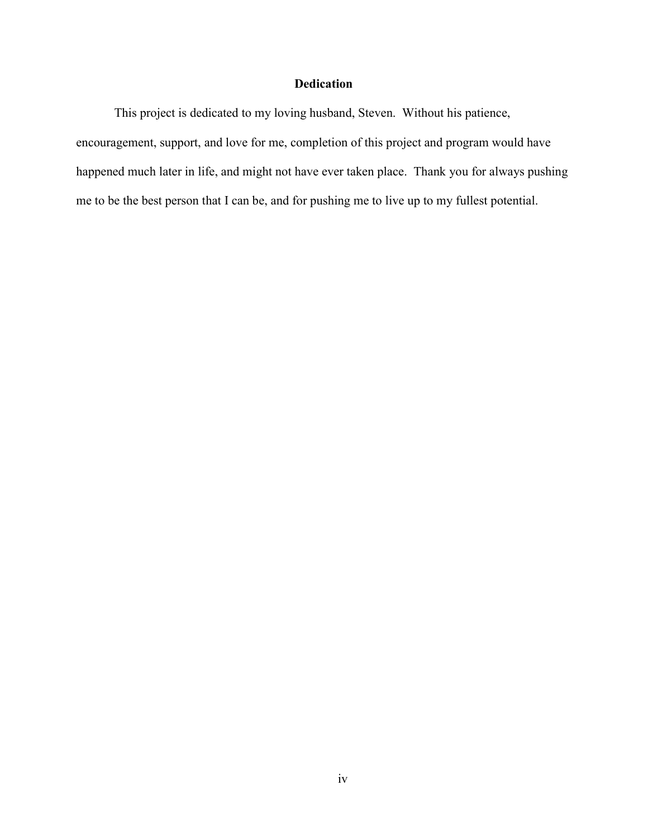#### Dedication

This project is dedicated to my loving husband, Steven. Without his patience, encouragement, support, and love for me, completion of this project and program would have happened much later in life, and might not have ever taken place. Thank you for always pushing me to be the best person that I can be, and for pushing me to live up to my fullest potential.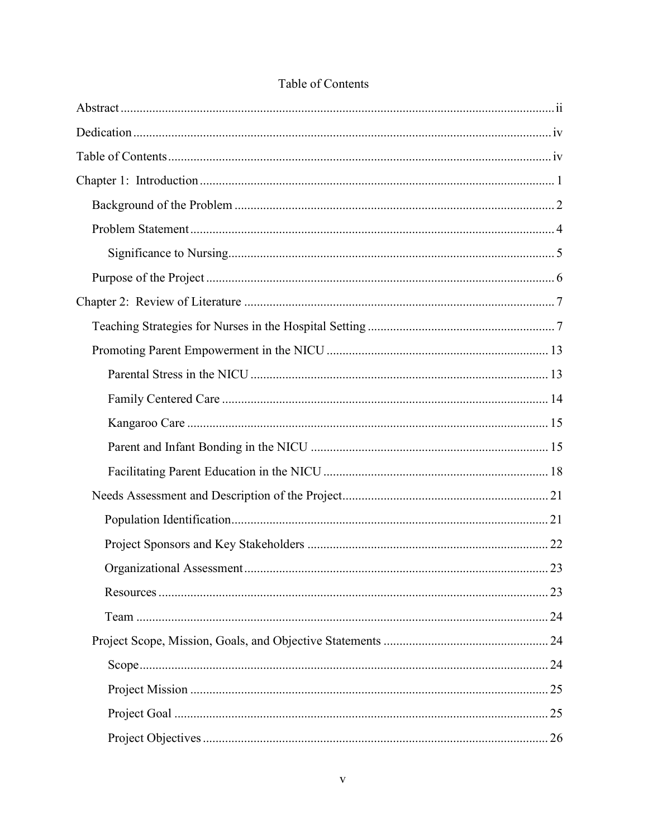## Table of Contents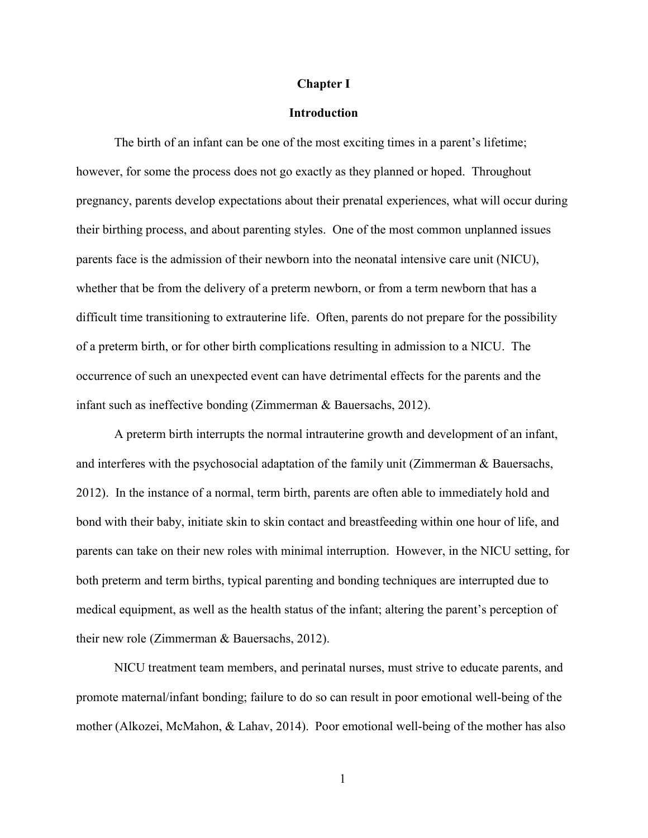#### Chapter I

#### **Introduction**

The birth of an infant can be one of the most exciting times in a parent's lifetime; however, for some the process does not go exactly as they planned or hoped. Throughout pregnancy, parents develop expectations about their prenatal experiences, what will occur during their birthing process, and about parenting styles. One of the most common unplanned issues parents face is the admission of their newborn into the neonatal intensive care unit (NICU), whether that be from the delivery of a preterm newborn, or from a term newborn that has a difficult time transitioning to extrauterine life. Often, parents do not prepare for the possibility of a preterm birth, or for other birth complications resulting in admission to a NICU. The occurrence of such an unexpected event can have detrimental effects for the parents and the infant such as ineffective bonding (Zimmerman & Bauersachs, 2012).

 A preterm birth interrupts the normal intrauterine growth and development of an infant, and interferes with the psychosocial adaptation of the family unit (Zimmerman & Bauersachs, 2012). In the instance of a normal, term birth, parents are often able to immediately hold and bond with their baby, initiate skin to skin contact and breastfeeding within one hour of life, and parents can take on their new roles with minimal interruption. However, in the NICU setting, for both preterm and term births, typical parenting and bonding techniques are interrupted due to medical equipment, as well as the health status of the infant; altering the parent's perception of their new role (Zimmerman & Bauersachs, 2012).

NICU treatment team members, and perinatal nurses, must strive to educate parents, and promote maternal/infant bonding; failure to do so can result in poor emotional well-being of the mother (Alkozei, McMahon, & Lahav, 2014). Poor emotional well-being of the mother has also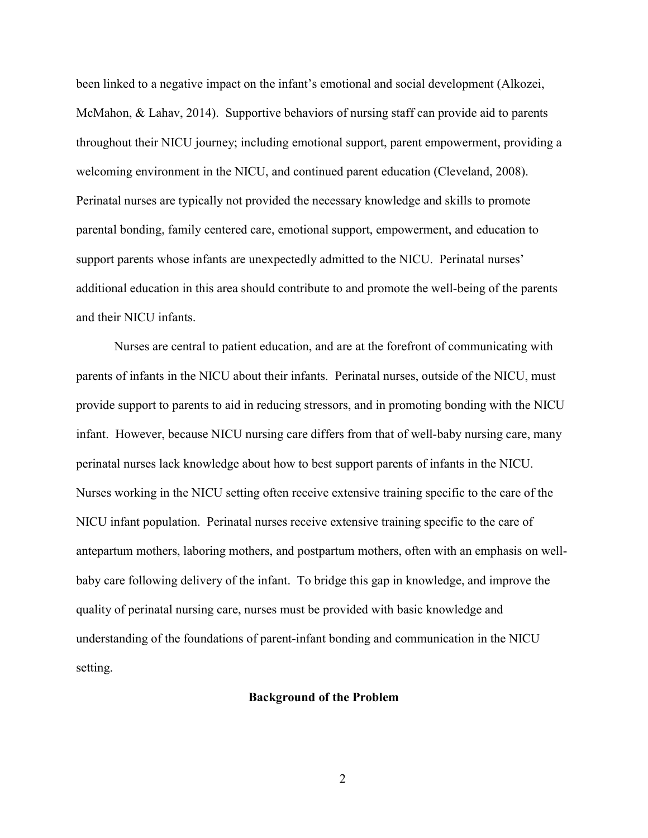been linked to a negative impact on the infant's emotional and social development (Alkozei, McMahon, & Lahav, 2014). Supportive behaviors of nursing staff can provide aid to parents throughout their NICU journey; including emotional support, parent empowerment, providing a welcoming environment in the NICU, and continued parent education (Cleveland, 2008). Perinatal nurses are typically not provided the necessary knowledge and skills to promote parental bonding, family centered care, emotional support, empowerment, and education to support parents whose infants are unexpectedly admitted to the NICU. Perinatal nurses' additional education in this area should contribute to and promote the well-being of the parents and their NICU infants.

Nurses are central to patient education, and are at the forefront of communicating with parents of infants in the NICU about their infants. Perinatal nurses, outside of the NICU, must provide support to parents to aid in reducing stressors, and in promoting bonding with the NICU infant. However, because NICU nursing care differs from that of well-baby nursing care, many perinatal nurses lack knowledge about how to best support parents of infants in the NICU. Nurses working in the NICU setting often receive extensive training specific to the care of the NICU infant population. Perinatal nurses receive extensive training specific to the care of antepartum mothers, laboring mothers, and postpartum mothers, often with an emphasis on wellbaby care following delivery of the infant. To bridge this gap in knowledge, and improve the quality of perinatal nursing care, nurses must be provided with basic knowledge and understanding of the foundations of parent-infant bonding and communication in the NICU setting.

#### Background of the Problem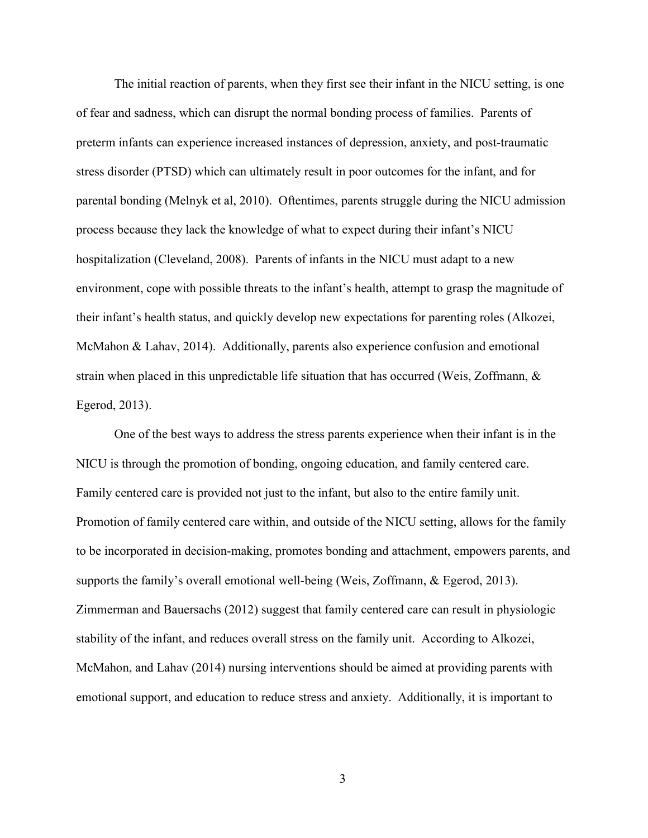The initial reaction of parents, when they first see their infant in the NICU setting, is one of fear and sadness, which can disrupt the normal bonding process of families. Parents of preterm infants can experience increased instances of depression, anxiety, and post-traumatic stress disorder (PTSD) which can ultimately result in poor outcomes for the infant, and for parental bonding (Melnyk et al, 2010). Oftentimes, parents struggle during the NICU admission process because they lack the knowledge of what to expect during their infant's NICU hospitalization (Cleveland, 2008). Parents of infants in the NICU must adapt to a new environment, cope with possible threats to the infant's health, attempt to grasp the magnitude of their infant's health status, and quickly develop new expectations for parenting roles (Alkozei, McMahon & Lahav, 2014). Additionally, parents also experience confusion and emotional strain when placed in this unpredictable life situation that has occurred (Weis, Zoffmann, & Egerod, 2013).

One of the best ways to address the stress parents experience when their infant is in the NICU is through the promotion of bonding, ongoing education, and family centered care. Family centered care is provided not just to the infant, but also to the entire family unit. Promotion of family centered care within, and outside of the NICU setting, allows for the family to be incorporated in decision-making, promotes bonding and attachment, empowers parents, and supports the family's overall emotional well-being (Weis, Zoffmann, & Egerod, 2013). Zimmerman and Bauersachs (2012) suggest that family centered care can result in physiologic stability of the infant, and reduces overall stress on the family unit. According to Alkozei, McMahon, and Lahav (2014) nursing interventions should be aimed at providing parents with emotional support, and education to reduce stress and anxiety. Additionally, it is important to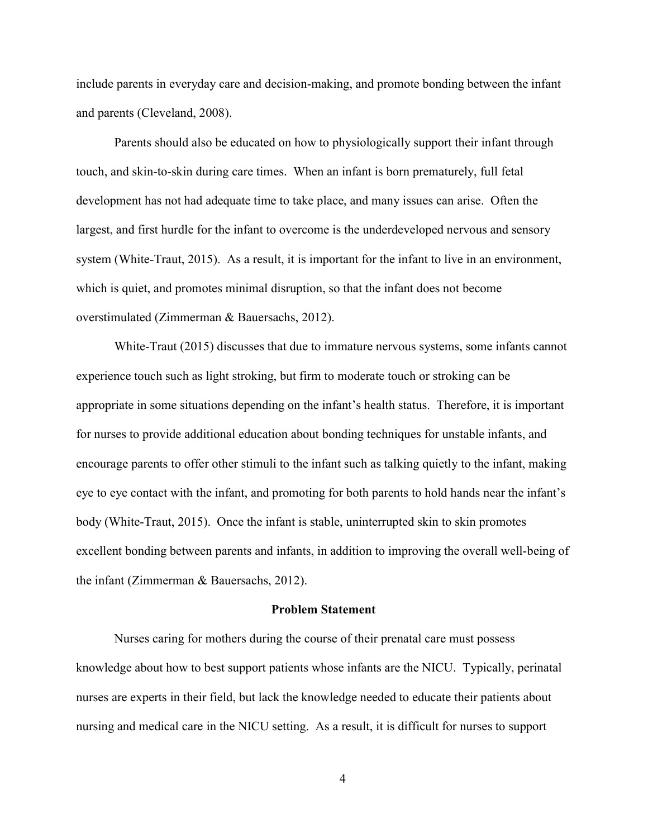include parents in everyday care and decision-making, and promote bonding between the infant and parents (Cleveland, 2008).

Parents should also be educated on how to physiologically support their infant through touch, and skin-to-skin during care times. When an infant is born prematurely, full fetal development has not had adequate time to take place, and many issues can arise. Often the largest, and first hurdle for the infant to overcome is the underdeveloped nervous and sensory system (White-Traut, 2015). As a result, it is important for the infant to live in an environment, which is quiet, and promotes minimal disruption, so that the infant does not become overstimulated (Zimmerman & Bauersachs, 2012).

White-Traut (2015) discusses that due to immature nervous systems, some infants cannot experience touch such as light stroking, but firm to moderate touch or stroking can be appropriate in some situations depending on the infant's health status. Therefore, it is important for nurses to provide additional education about bonding techniques for unstable infants, and encourage parents to offer other stimuli to the infant such as talking quietly to the infant, making eye to eye contact with the infant, and promoting for both parents to hold hands near the infant's body (White-Traut, 2015). Once the infant is stable, uninterrupted skin to skin promotes excellent bonding between parents and infants, in addition to improving the overall well-being of the infant (Zimmerman & Bauersachs, 2012).

#### Problem Statement

Nurses caring for mothers during the course of their prenatal care must possess knowledge about how to best support patients whose infants are the NICU. Typically, perinatal nurses are experts in their field, but lack the knowledge needed to educate their patients about nursing and medical care in the NICU setting. As a result, it is difficult for nurses to support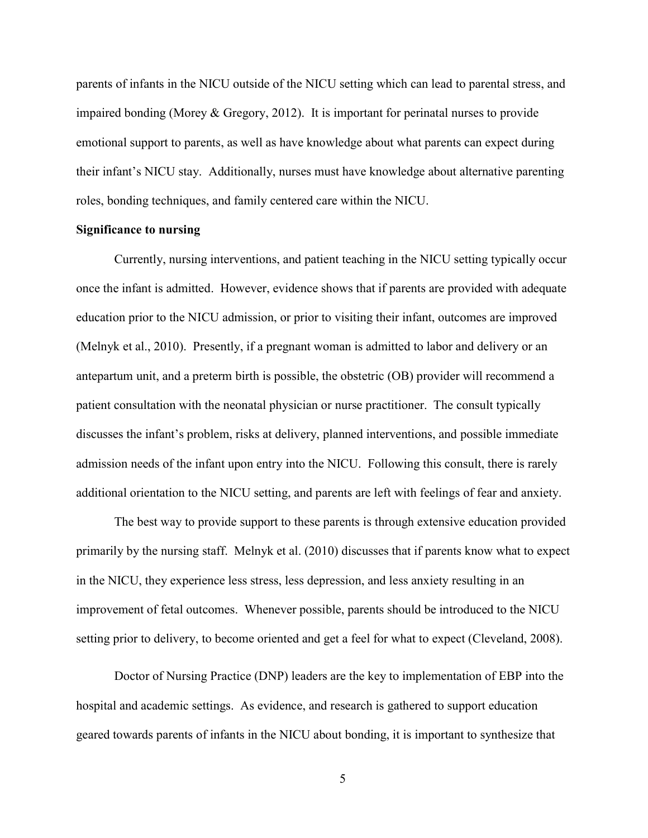parents of infants in the NICU outside of the NICU setting which can lead to parental stress, and impaired bonding (Morey & Gregory, 2012). It is important for perinatal nurses to provide emotional support to parents, as well as have knowledge about what parents can expect during their infant's NICU stay. Additionally, nurses must have knowledge about alternative parenting roles, bonding techniques, and family centered care within the NICU.

#### Significance to nursing

Currently, nursing interventions, and patient teaching in the NICU setting typically occur once the infant is admitted. However, evidence shows that if parents are provided with adequate education prior to the NICU admission, or prior to visiting their infant, outcomes are improved (Melnyk et al., 2010). Presently, if a pregnant woman is admitted to labor and delivery or an antepartum unit, and a preterm birth is possible, the obstetric (OB) provider will recommend a patient consultation with the neonatal physician or nurse practitioner. The consult typically discusses the infant's problem, risks at delivery, planned interventions, and possible immediate admission needs of the infant upon entry into the NICU. Following this consult, there is rarely additional orientation to the NICU setting, and parents are left with feelings of fear and anxiety.

The best way to provide support to these parents is through extensive education provided primarily by the nursing staff. Melnyk et al. (2010) discusses that if parents know what to expect in the NICU, they experience less stress, less depression, and less anxiety resulting in an improvement of fetal outcomes. Whenever possible, parents should be introduced to the NICU setting prior to delivery, to become oriented and get a feel for what to expect (Cleveland, 2008).

Doctor of Nursing Practice (DNP) leaders are the key to implementation of EBP into the hospital and academic settings. As evidence, and research is gathered to support education geared towards parents of infants in the NICU about bonding, it is important to synthesize that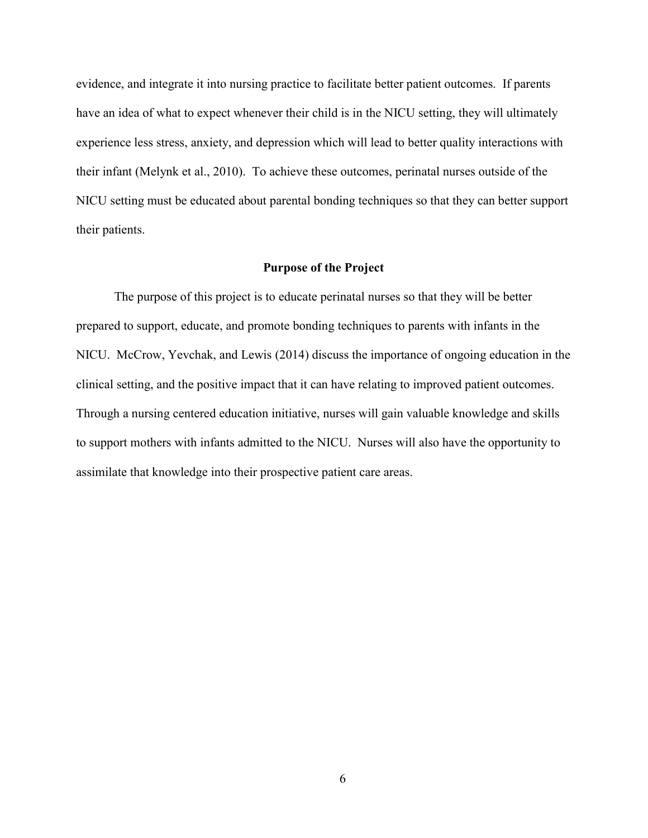evidence, and integrate it into nursing practice to facilitate better patient outcomes. If parents have an idea of what to expect whenever their child is in the NICU setting, they will ultimately experience less stress, anxiety, and depression which will lead to better quality interactions with their infant (Melynk et al., 2010). To achieve these outcomes, perinatal nurses outside of the NICU setting must be educated about parental bonding techniques so that they can better support their patients.

#### Purpose of the Project

The purpose of this project is to educate perinatal nurses so that they will be better prepared to support, educate, and promote bonding techniques to parents with infants in the NICU. McCrow, Yevchak, and Lewis (2014) discuss the importance of ongoing education in the clinical setting, and the positive impact that it can have relating to improved patient outcomes. Through a nursing centered education initiative, nurses will gain valuable knowledge and skills to support mothers with infants admitted to the NICU. Nurses will also have the opportunity to assimilate that knowledge into their prospective patient care areas.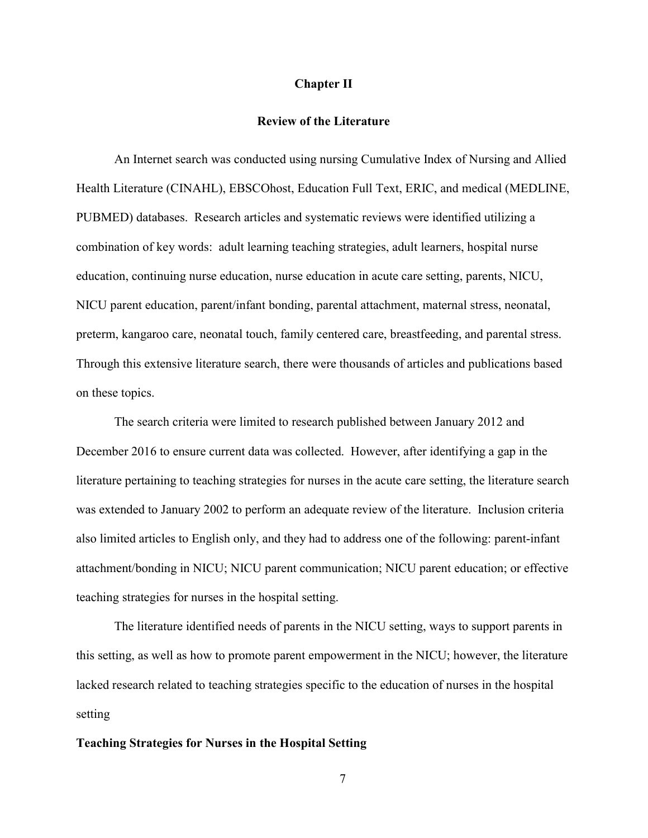#### Chapter II

#### Review of the Literature

 An Internet search was conducted using nursing Cumulative Index of Nursing and Allied Health Literature (CINAHL), EBSCOhost, Education Full Text, ERIC, and medical (MEDLINE, PUBMED) databases. Research articles and systematic reviews were identified utilizing a combination of key words: adult learning teaching strategies, adult learners, hospital nurse education, continuing nurse education, nurse education in acute care setting, parents, NICU, NICU parent education, parent/infant bonding, parental attachment, maternal stress, neonatal, preterm, kangaroo care, neonatal touch, family centered care, breastfeeding, and parental stress. Through this extensive literature search, there were thousands of articles and publications based on these topics.

The search criteria were limited to research published between January 2012 and December 2016 to ensure current data was collected. However, after identifying a gap in the literature pertaining to teaching strategies for nurses in the acute care setting, the literature search was extended to January 2002 to perform an adequate review of the literature. Inclusion criteria also limited articles to English only, and they had to address one of the following: parent-infant attachment/bonding in NICU; NICU parent communication; NICU parent education; or effective teaching strategies for nurses in the hospital setting.

The literature identified needs of parents in the NICU setting, ways to support parents in this setting, as well as how to promote parent empowerment in the NICU; however, the literature lacked research related to teaching strategies specific to the education of nurses in the hospital setting

#### Teaching Strategies for Nurses in the Hospital Setting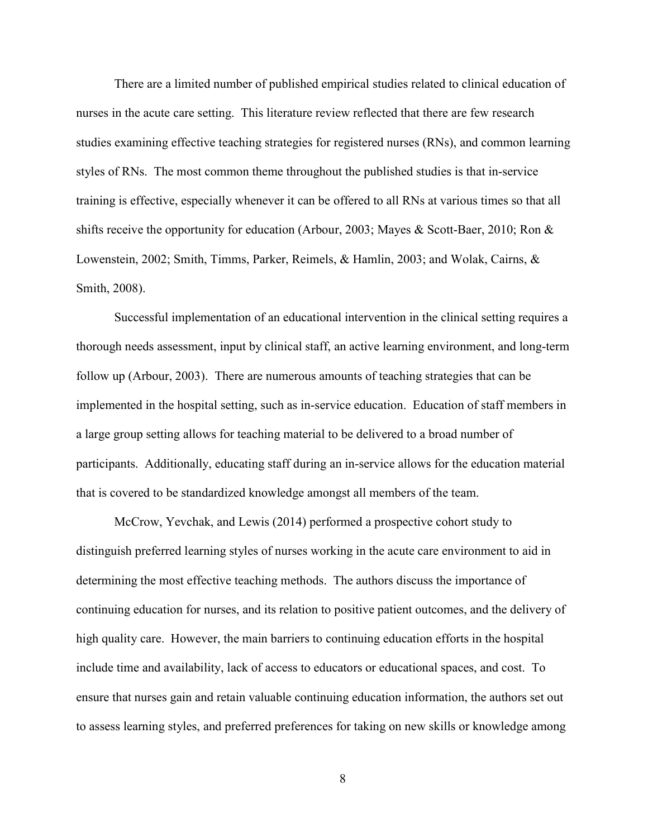There are a limited number of published empirical studies related to clinical education of nurses in the acute care setting. This literature review reflected that there are few research studies examining effective teaching strategies for registered nurses (RNs), and common learning styles of RNs. The most common theme throughout the published studies is that in-service training is effective, especially whenever it can be offered to all RNs at various times so that all shifts receive the opportunity for education (Arbour, 2003; Mayes & Scott-Baer, 2010; Ron & Lowenstein, 2002; Smith, Timms, Parker, Reimels, & Hamlin, 2003; and Wolak, Cairns, & Smith, 2008).

Successful implementation of an educational intervention in the clinical setting requires a thorough needs assessment, input by clinical staff, an active learning environment, and long-term follow up (Arbour, 2003). There are numerous amounts of teaching strategies that can be implemented in the hospital setting, such as in-service education. Education of staff members in a large group setting allows for teaching material to be delivered to a broad number of participants. Additionally, educating staff during an in-service allows for the education material that is covered to be standardized knowledge amongst all members of the team.

McCrow, Yevchak, and Lewis (2014) performed a prospective cohort study to distinguish preferred learning styles of nurses working in the acute care environment to aid in determining the most effective teaching methods. The authors discuss the importance of continuing education for nurses, and its relation to positive patient outcomes, and the delivery of high quality care. However, the main barriers to continuing education efforts in the hospital include time and availability, lack of access to educators or educational spaces, and cost. To ensure that nurses gain and retain valuable continuing education information, the authors set out to assess learning styles, and preferred preferences for taking on new skills or knowledge among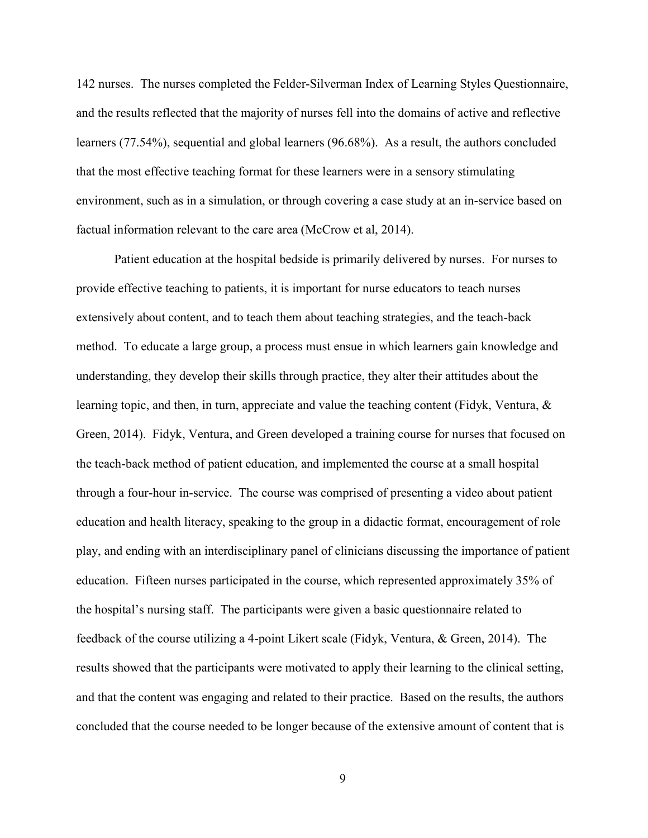142 nurses. The nurses completed the Felder-Silverman Index of Learning Styles Questionnaire, and the results reflected that the majority of nurses fell into the domains of active and reflective learners (77.54%), sequential and global learners (96.68%). As a result, the authors concluded that the most effective teaching format for these learners were in a sensory stimulating environment, such as in a simulation, or through covering a case study at an in-service based on factual information relevant to the care area (McCrow et al, 2014).

Patient education at the hospital bedside is primarily delivered by nurses. For nurses to provide effective teaching to patients, it is important for nurse educators to teach nurses extensively about content, and to teach them about teaching strategies, and the teach-back method. To educate a large group, a process must ensue in which learners gain knowledge and understanding, they develop their skills through practice, they alter their attitudes about the learning topic, and then, in turn, appreciate and value the teaching content (Fidyk, Ventura, & Green, 2014). Fidyk, Ventura, and Green developed a training course for nurses that focused on the teach-back method of patient education, and implemented the course at a small hospital through a four-hour in-service. The course was comprised of presenting a video about patient education and health literacy, speaking to the group in a didactic format, encouragement of role play, and ending with an interdisciplinary panel of clinicians discussing the importance of patient education. Fifteen nurses participated in the course, which represented approximately 35% of the hospital's nursing staff. The participants were given a basic questionnaire related to feedback of the course utilizing a 4-point Likert scale (Fidyk, Ventura, & Green, 2014). The results showed that the participants were motivated to apply their learning to the clinical setting, and that the content was engaging and related to their practice. Based on the results, the authors concluded that the course needed to be longer because of the extensive amount of content that is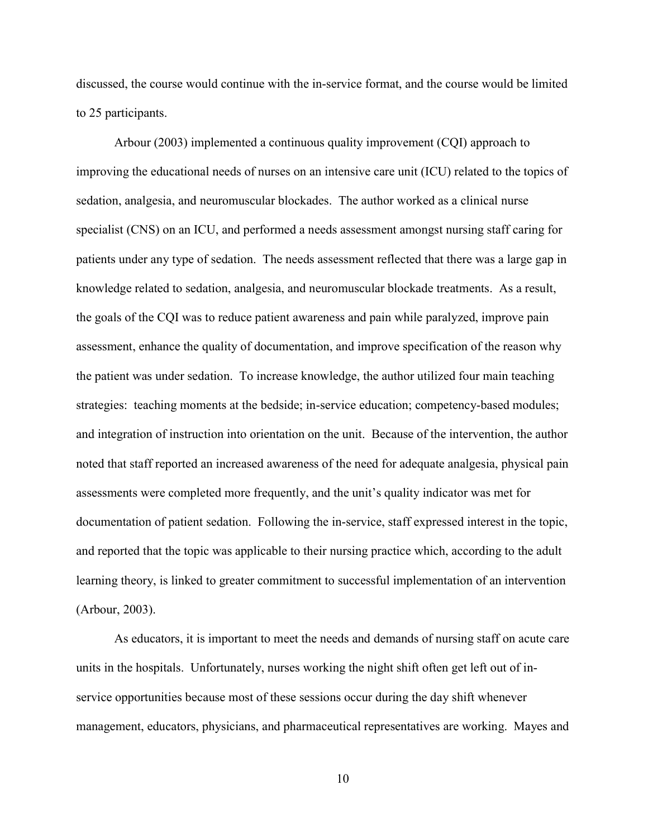discussed, the course would continue with the in-service format, and the course would be limited to 25 participants.

Arbour (2003) implemented a continuous quality improvement (CQI) approach to improving the educational needs of nurses on an intensive care unit (ICU) related to the topics of sedation, analgesia, and neuromuscular blockades. The author worked as a clinical nurse specialist (CNS) on an ICU, and performed a needs assessment amongst nursing staff caring for patients under any type of sedation. The needs assessment reflected that there was a large gap in knowledge related to sedation, analgesia, and neuromuscular blockade treatments. As a result, the goals of the CQI was to reduce patient awareness and pain while paralyzed, improve pain assessment, enhance the quality of documentation, and improve specification of the reason why the patient was under sedation. To increase knowledge, the author utilized four main teaching strategies: teaching moments at the bedside; in-service education; competency-based modules; and integration of instruction into orientation on the unit. Because of the intervention, the author noted that staff reported an increased awareness of the need for adequate analgesia, physical pain assessments were completed more frequently, and the unit's quality indicator was met for documentation of patient sedation. Following the in-service, staff expressed interest in the topic, and reported that the topic was applicable to their nursing practice which, according to the adult learning theory, is linked to greater commitment to successful implementation of an intervention (Arbour, 2003).

As educators, it is important to meet the needs and demands of nursing staff on acute care units in the hospitals. Unfortunately, nurses working the night shift often get left out of inservice opportunities because most of these sessions occur during the day shift whenever management, educators, physicians, and pharmaceutical representatives are working. Mayes and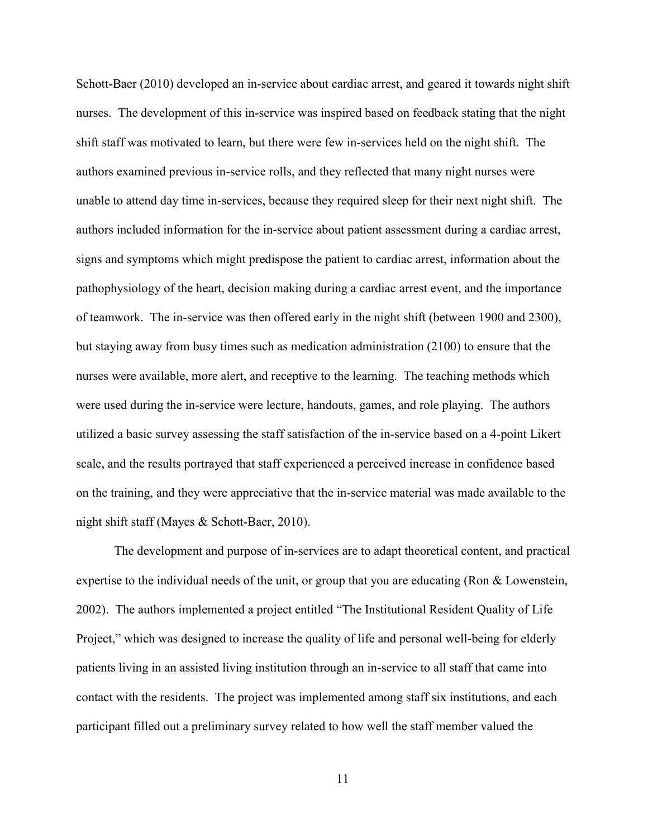Schott-Baer (2010) developed an in-service about cardiac arrest, and geared it towards night shift nurses. The development of this in-service was inspired based on feedback stating that the night shift staff was motivated to learn, but there were few in-services held on the night shift. The authors examined previous in-service rolls, and they reflected that many night nurses were unable to attend day time in-services, because they required sleep for their next night shift. The authors included information for the in-service about patient assessment during a cardiac arrest, signs and symptoms which might predispose the patient to cardiac arrest, information about the pathophysiology of the heart, decision making during a cardiac arrest event, and the importance of teamwork. The in-service was then offered early in the night shift (between 1900 and 2300), but staying away from busy times such as medication administration (2100) to ensure that the nurses were available, more alert, and receptive to the learning. The teaching methods which were used during the in-service were lecture, handouts, games, and role playing. The authors utilized a basic survey assessing the staff satisfaction of the in-service based on a 4-point Likert scale, and the results portrayed that staff experienced a perceived increase in confidence based on the training, and they were appreciative that the in-service material was made available to the night shift staff (Mayes & Schott-Baer, 2010).

The development and purpose of in-services are to adapt theoretical content, and practical expertise to the individual needs of the unit, or group that you are educating (Ron & Lowenstein, 2002). The authors implemented a project entitled "The Institutional Resident Quality of Life Project," which was designed to increase the quality of life and personal well-being for elderly patients living in an assisted living institution through an in-service to all staff that came into contact with the residents. The project was implemented among staff six institutions, and each participant filled out a preliminary survey related to how well the staff member valued the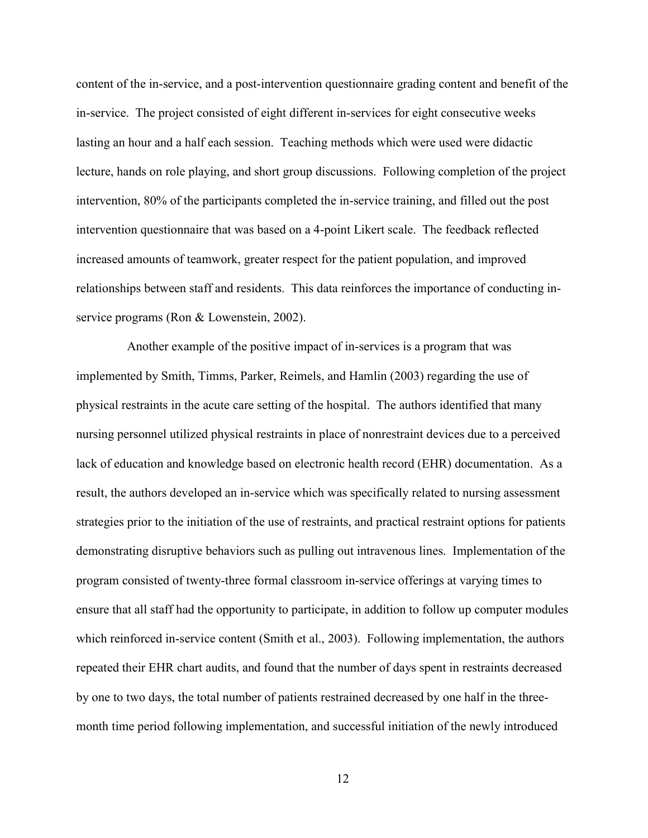content of the in-service, and a post-intervention questionnaire grading content and benefit of the in-service. The project consisted of eight different in-services for eight consecutive weeks lasting an hour and a half each session. Teaching methods which were used were didactic lecture, hands on role playing, and short group discussions. Following completion of the project intervention, 80% of the participants completed the in-service training, and filled out the post intervention questionnaire that was based on a 4-point Likert scale. The feedback reflected increased amounts of teamwork, greater respect for the patient population, and improved relationships between staff and residents. This data reinforces the importance of conducting inservice programs (Ron & Lowenstein, 2002).

 Another example of the positive impact of in-services is a program that was implemented by Smith, Timms, Parker, Reimels, and Hamlin (2003) regarding the use of physical restraints in the acute care setting of the hospital. The authors identified that many nursing personnel utilized physical restraints in place of nonrestraint devices due to a perceived lack of education and knowledge based on electronic health record (EHR) documentation. As a result, the authors developed an in-service which was specifically related to nursing assessment strategies prior to the initiation of the use of restraints, and practical restraint options for patients demonstrating disruptive behaviors such as pulling out intravenous lines. Implementation of the program consisted of twenty-three formal classroom in-service offerings at varying times to ensure that all staff had the opportunity to participate, in addition to follow up computer modules which reinforced in-service content (Smith et al., 2003). Following implementation, the authors repeated their EHR chart audits, and found that the number of days spent in restraints decreased by one to two days, the total number of patients restrained decreased by one half in the threemonth time period following implementation, and successful initiation of the newly introduced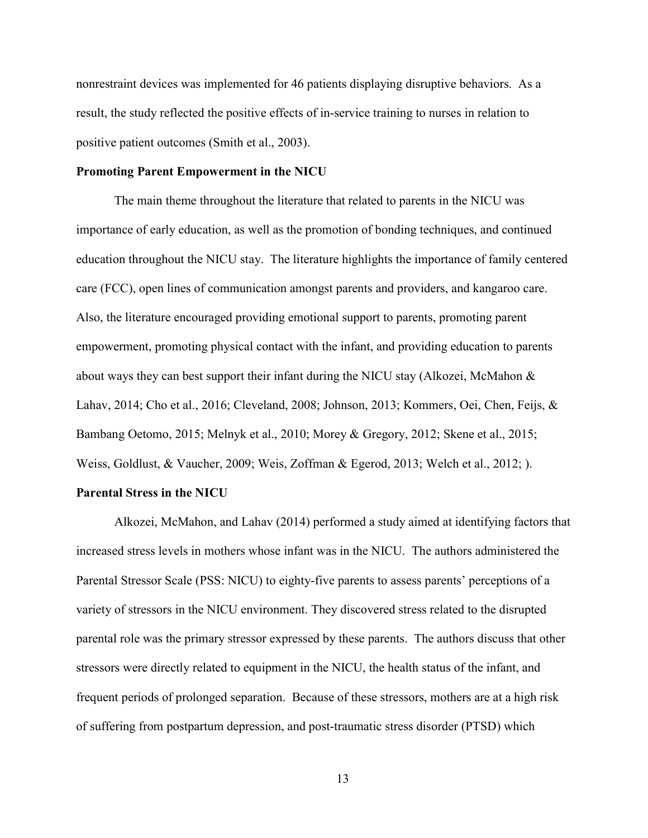nonrestraint devices was implemented for 46 patients displaying disruptive behaviors. As a result, the study reflected the positive effects of in-service training to nurses in relation to positive patient outcomes (Smith et al., 2003).

#### Promoting Parent Empowerment in the NICU

The main theme throughout the literature that related to parents in the NICU was importance of early education, as well as the promotion of bonding techniques, and continued education throughout the NICU stay. The literature highlights the importance of family centered care (FCC), open lines of communication amongst parents and providers, and kangaroo care. Also, the literature encouraged providing emotional support to parents, promoting parent empowerment, promoting physical contact with the infant, and providing education to parents about ways they can best support their infant during the NICU stay (Alkozei, McMahon  $\&$ Lahav, 2014; Cho et al., 2016; Cleveland, 2008; Johnson, 2013; Kommers, Oei, Chen, Feijs, & Bambang Oetomo, 2015; Melnyk et al., 2010; Morey & Gregory, 2012; Skene et al., 2015; Weiss, Goldlust, & Vaucher, 2009; Weis, Zoffman & Egerod, 2013; Welch et al., 2012; ).

#### Parental Stress in the NICU

Alkozei, McMahon, and Lahav (2014) performed a study aimed at identifying factors that increased stress levels in mothers whose infant was in the NICU. The authors administered the Parental Stressor Scale (PSS: NICU) to eighty-five parents to assess parents' perceptions of a variety of stressors in the NICU environment. They discovered stress related to the disrupted parental role was the primary stressor expressed by these parents. The authors discuss that other stressors were directly related to equipment in the NICU, the health status of the infant, and frequent periods of prolonged separation. Because of these stressors, mothers are at a high risk of suffering from postpartum depression, and post-traumatic stress disorder (PTSD) which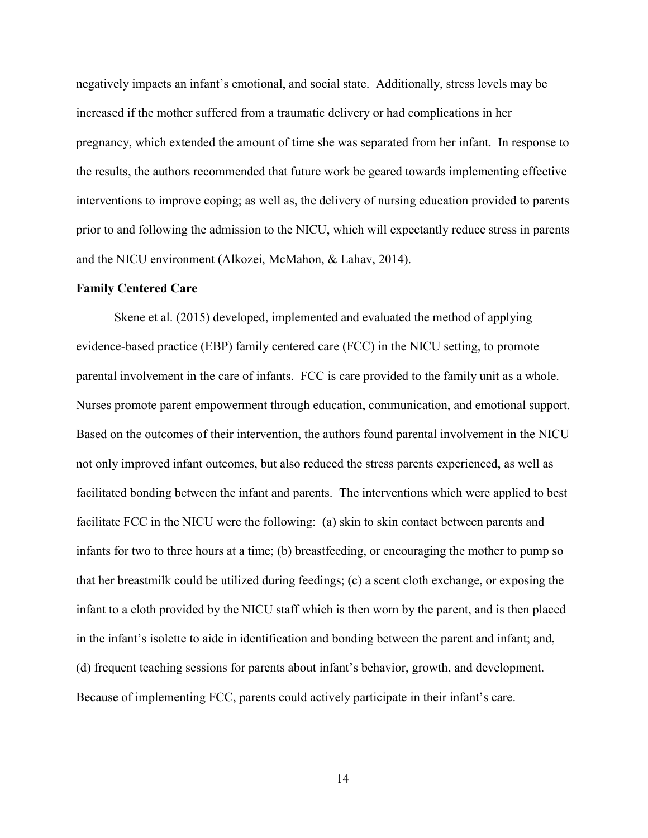negatively impacts an infant's emotional, and social state. Additionally, stress levels may be increased if the mother suffered from a traumatic delivery or had complications in her pregnancy, which extended the amount of time she was separated from her infant. In response to the results, the authors recommended that future work be geared towards implementing effective interventions to improve coping; as well as, the delivery of nursing education provided to parents prior to and following the admission to the NICU, which will expectantly reduce stress in parents and the NICU environment (Alkozei, McMahon, & Lahav, 2014).

#### Family Centered Care

 Skene et al. (2015) developed, implemented and evaluated the method of applying evidence-based practice (EBP) family centered care (FCC) in the NICU setting, to promote parental involvement in the care of infants. FCC is care provided to the family unit as a whole. Nurses promote parent empowerment through education, communication, and emotional support. Based on the outcomes of their intervention, the authors found parental involvement in the NICU not only improved infant outcomes, but also reduced the stress parents experienced, as well as facilitated bonding between the infant and parents. The interventions which were applied to best facilitate FCC in the NICU were the following: (a) skin to skin contact between parents and infants for two to three hours at a time; (b) breastfeeding, or encouraging the mother to pump so that her breastmilk could be utilized during feedings; (c) a scent cloth exchange, or exposing the infant to a cloth provided by the NICU staff which is then worn by the parent, and is then placed in the infant's isolette to aide in identification and bonding between the parent and infant; and, (d) frequent teaching sessions for parents about infant's behavior, growth, and development. Because of implementing FCC, parents could actively participate in their infant's care.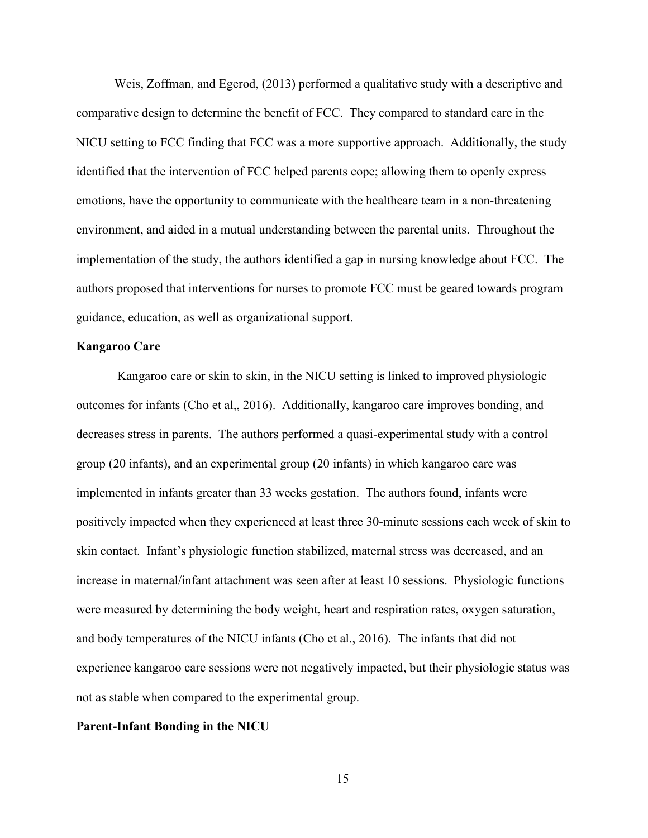Weis, Zoffman, and Egerod, (2013) performed a qualitative study with a descriptive and comparative design to determine the benefit of FCC. They compared to standard care in the NICU setting to FCC finding that FCC was a more supportive approach. Additionally, the study identified that the intervention of FCC helped parents cope; allowing them to openly express emotions, have the opportunity to communicate with the healthcare team in a non-threatening environment, and aided in a mutual understanding between the parental units. Throughout the implementation of the study, the authors identified a gap in nursing knowledge about FCC. The authors proposed that interventions for nurses to promote FCC must be geared towards program guidance, education, as well as organizational support.

#### Kangaroo Care

 Kangaroo care or skin to skin, in the NICU setting is linked to improved physiologic outcomes for infants (Cho et al,, 2016). Additionally, kangaroo care improves bonding, and decreases stress in parents. The authors performed a quasi-experimental study with a control group (20 infants), and an experimental group (20 infants) in which kangaroo care was implemented in infants greater than 33 weeks gestation. The authors found, infants were positively impacted when they experienced at least three 30-minute sessions each week of skin to skin contact. Infant's physiologic function stabilized, maternal stress was decreased, and an increase in maternal/infant attachment was seen after at least 10 sessions. Physiologic functions were measured by determining the body weight, heart and respiration rates, oxygen saturation, and body temperatures of the NICU infants (Cho et al., 2016). The infants that did not experience kangaroo care sessions were not negatively impacted, but their physiologic status was not as stable when compared to the experimental group.

#### Parent-Infant Bonding in the NICU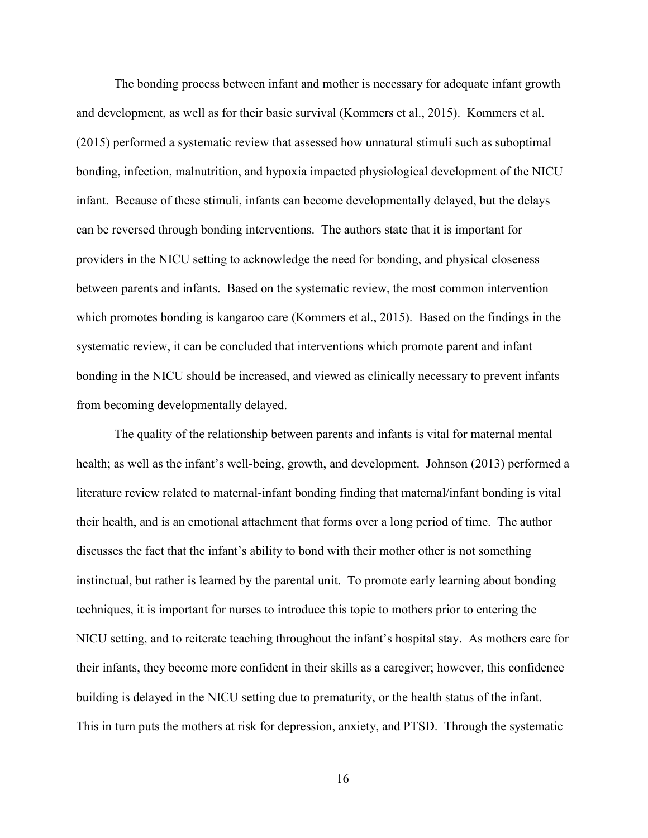The bonding process between infant and mother is necessary for adequate infant growth and development, as well as for their basic survival (Kommers et al., 2015). Kommers et al. (2015) performed a systematic review that assessed how unnatural stimuli such as suboptimal bonding, infection, malnutrition, and hypoxia impacted physiological development of the NICU infant. Because of these stimuli, infants can become developmentally delayed, but the delays can be reversed through bonding interventions. The authors state that it is important for providers in the NICU setting to acknowledge the need for bonding, and physical closeness between parents and infants. Based on the systematic review, the most common intervention which promotes bonding is kangaroo care (Kommers et al., 2015). Based on the findings in the systematic review, it can be concluded that interventions which promote parent and infant bonding in the NICU should be increased, and viewed as clinically necessary to prevent infants from becoming developmentally delayed.

The quality of the relationship between parents and infants is vital for maternal mental health; as well as the infant's well-being, growth, and development. Johnson (2013) performed a literature review related to maternal-infant bonding finding that maternal/infant bonding is vital their health, and is an emotional attachment that forms over a long period of time. The author discusses the fact that the infant's ability to bond with their mother other is not something instinctual, but rather is learned by the parental unit. To promote early learning about bonding techniques, it is important for nurses to introduce this topic to mothers prior to entering the NICU setting, and to reiterate teaching throughout the infant's hospital stay. As mothers care for their infants, they become more confident in their skills as a caregiver; however, this confidence building is delayed in the NICU setting due to prematurity, or the health status of the infant. This in turn puts the mothers at risk for depression, anxiety, and PTSD. Through the systematic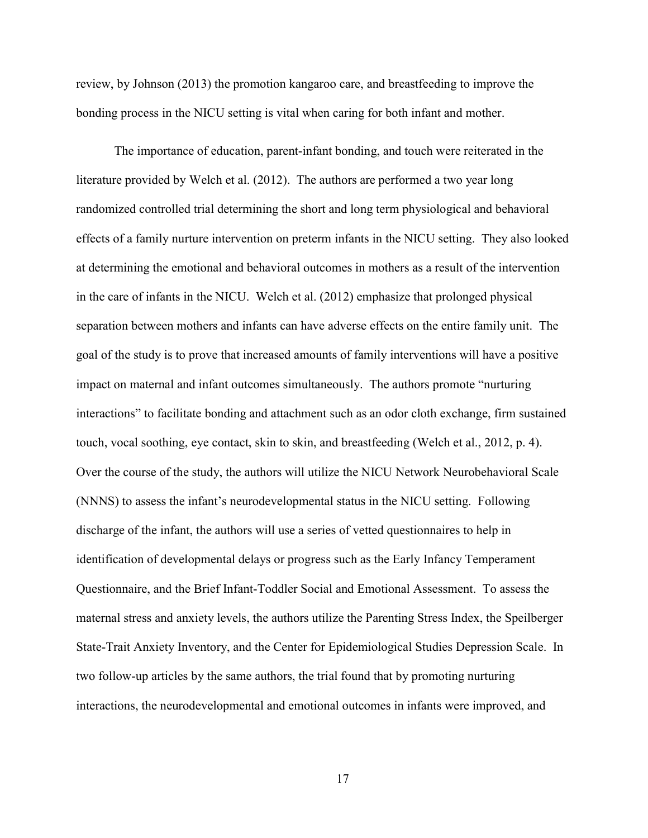review, by Johnson (2013) the promotion kangaroo care, and breastfeeding to improve the bonding process in the NICU setting is vital when caring for both infant and mother.

The importance of education, parent-infant bonding, and touch were reiterated in the literature provided by Welch et al. (2012). The authors are performed a two year long randomized controlled trial determining the short and long term physiological and behavioral effects of a family nurture intervention on preterm infants in the NICU setting. They also looked at determining the emotional and behavioral outcomes in mothers as a result of the intervention in the care of infants in the NICU. Welch et al. (2012) emphasize that prolonged physical separation between mothers and infants can have adverse effects on the entire family unit. The goal of the study is to prove that increased amounts of family interventions will have a positive impact on maternal and infant outcomes simultaneously. The authors promote "nurturing interactions" to facilitate bonding and attachment such as an odor cloth exchange, firm sustained touch, vocal soothing, eye contact, skin to skin, and breastfeeding (Welch et al., 2012, p. 4). Over the course of the study, the authors will utilize the NICU Network Neurobehavioral Scale (NNNS) to assess the infant's neurodevelopmental status in the NICU setting. Following discharge of the infant, the authors will use a series of vetted questionnaires to help in identification of developmental delays or progress such as the Early Infancy Temperament Questionnaire, and the Brief Infant-Toddler Social and Emotional Assessment. To assess the maternal stress and anxiety levels, the authors utilize the Parenting Stress Index, the Speilberger State-Trait Anxiety Inventory, and the Center for Epidemiological Studies Depression Scale. In two follow-up articles by the same authors, the trial found that by promoting nurturing interactions, the neurodevelopmental and emotional outcomes in infants were improved, and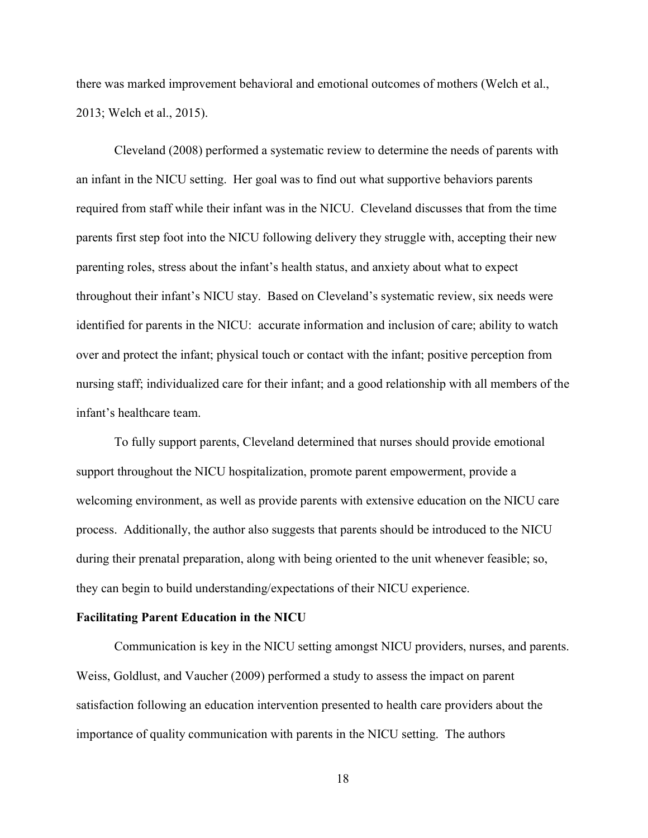there was marked improvement behavioral and emotional outcomes of mothers (Welch et al., 2013; Welch et al., 2015).

 Cleveland (2008) performed a systematic review to determine the needs of parents with an infant in the NICU setting. Her goal was to find out what supportive behaviors parents required from staff while their infant was in the NICU. Cleveland discusses that from the time parents first step foot into the NICU following delivery they struggle with, accepting their new parenting roles, stress about the infant's health status, and anxiety about what to expect throughout their infant's NICU stay. Based on Cleveland's systematic review, six needs were identified for parents in the NICU: accurate information and inclusion of care; ability to watch over and protect the infant; physical touch or contact with the infant; positive perception from nursing staff; individualized care for their infant; and a good relationship with all members of the infant's healthcare team.

To fully support parents, Cleveland determined that nurses should provide emotional support throughout the NICU hospitalization, promote parent empowerment, provide a welcoming environment, as well as provide parents with extensive education on the NICU care process. Additionally, the author also suggests that parents should be introduced to the NICU during their prenatal preparation, along with being oriented to the unit whenever feasible; so, they can begin to build understanding/expectations of their NICU experience.

#### Facilitating Parent Education in the NICU

 Communication is key in the NICU setting amongst NICU providers, nurses, and parents. Weiss, Goldlust, and Vaucher (2009) performed a study to assess the impact on parent satisfaction following an education intervention presented to health care providers about the importance of quality communication with parents in the NICU setting. The authors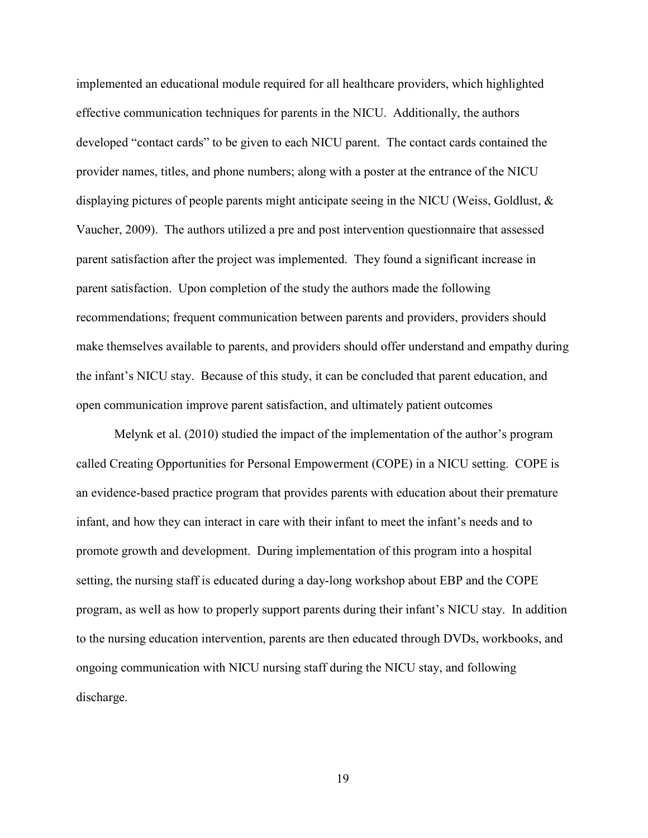implemented an educational module required for all healthcare providers, which highlighted effective communication techniques for parents in the NICU. Additionally, the authors developed "contact cards" to be given to each NICU parent. The contact cards contained the provider names, titles, and phone numbers; along with a poster at the entrance of the NICU displaying pictures of people parents might anticipate seeing in the NICU (Weiss, Goldlust, & Vaucher, 2009). The authors utilized a pre and post intervention questionnaire that assessed parent satisfaction after the project was implemented. They found a significant increase in parent satisfaction. Upon completion of the study the authors made the following recommendations; frequent communication between parents and providers, providers should make themselves available to parents, and providers should offer understand and empathy during the infant's NICU stay. Because of this study, it can be concluded that parent education, and open communication improve parent satisfaction, and ultimately patient outcomes

 Melynk et al. (2010) studied the impact of the implementation of the author's program called Creating Opportunities for Personal Empowerment (COPE) in a NICU setting. COPE is an evidence-based practice program that provides parents with education about their premature infant, and how they can interact in care with their infant to meet the infant's needs and to promote growth and development. During implementation of this program into a hospital setting, the nursing staff is educated during a day-long workshop about EBP and the COPE program, as well as how to properly support parents during their infant's NICU stay. In addition to the nursing education intervention, parents are then educated through DVDs, workbooks, and ongoing communication with NICU nursing staff during the NICU stay, and following discharge.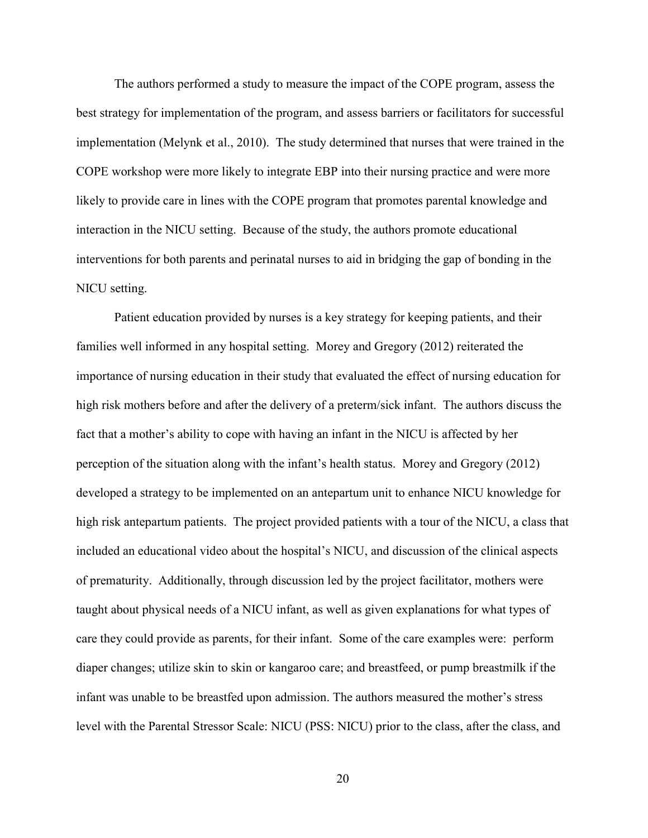The authors performed a study to measure the impact of the COPE program, assess the best strategy for implementation of the program, and assess barriers or facilitators for successful implementation (Melynk et al., 2010). The study determined that nurses that were trained in the COPE workshop were more likely to integrate EBP into their nursing practice and were more likely to provide care in lines with the COPE program that promotes parental knowledge and interaction in the NICU setting. Because of the study, the authors promote educational interventions for both parents and perinatal nurses to aid in bridging the gap of bonding in the NICU setting.

 Patient education provided by nurses is a key strategy for keeping patients, and their families well informed in any hospital setting. Morey and Gregory (2012) reiterated the importance of nursing education in their study that evaluated the effect of nursing education for high risk mothers before and after the delivery of a preterm/sick infant. The authors discuss the fact that a mother's ability to cope with having an infant in the NICU is affected by her perception of the situation along with the infant's health status. Morey and Gregory (2012) developed a strategy to be implemented on an antepartum unit to enhance NICU knowledge for high risk antepartum patients. The project provided patients with a tour of the NICU, a class that included an educational video about the hospital's NICU, and discussion of the clinical aspects of prematurity. Additionally, through discussion led by the project facilitator, mothers were taught about physical needs of a NICU infant, as well as given explanations for what types of care they could provide as parents, for their infant. Some of the care examples were: perform diaper changes; utilize skin to skin or kangaroo care; and breastfeed, or pump breastmilk if the infant was unable to be breastfed upon admission. The authors measured the mother's stress level with the Parental Stressor Scale: NICU (PSS: NICU) prior to the class, after the class, and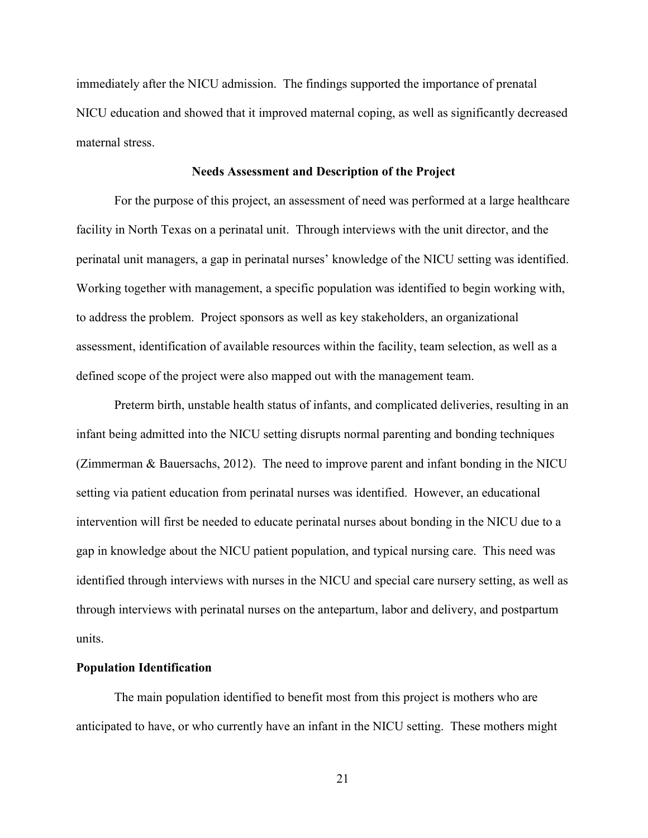immediately after the NICU admission. The findings supported the importance of prenatal NICU education and showed that it improved maternal coping, as well as significantly decreased maternal stress.

#### Needs Assessment and Description of the Project

For the purpose of this project, an assessment of need was performed at a large healthcare facility in North Texas on a perinatal unit. Through interviews with the unit director, and the perinatal unit managers, a gap in perinatal nurses' knowledge of the NICU setting was identified. Working together with management, a specific population was identified to begin working with, to address the problem. Project sponsors as well as key stakeholders, an organizational assessment, identification of available resources within the facility, team selection, as well as a defined scope of the project were also mapped out with the management team.

Preterm birth, unstable health status of infants, and complicated deliveries, resulting in an infant being admitted into the NICU setting disrupts normal parenting and bonding techniques (Zimmerman & Bauersachs, 2012). The need to improve parent and infant bonding in the NICU setting via patient education from perinatal nurses was identified. However, an educational intervention will first be needed to educate perinatal nurses about bonding in the NICU due to a gap in knowledge about the NICU patient population, and typical nursing care. This need was identified through interviews with nurses in the NICU and special care nursery setting, as well as through interviews with perinatal nurses on the antepartum, labor and delivery, and postpartum units.

#### Population Identification

The main population identified to benefit most from this project is mothers who are anticipated to have, or who currently have an infant in the NICU setting. These mothers might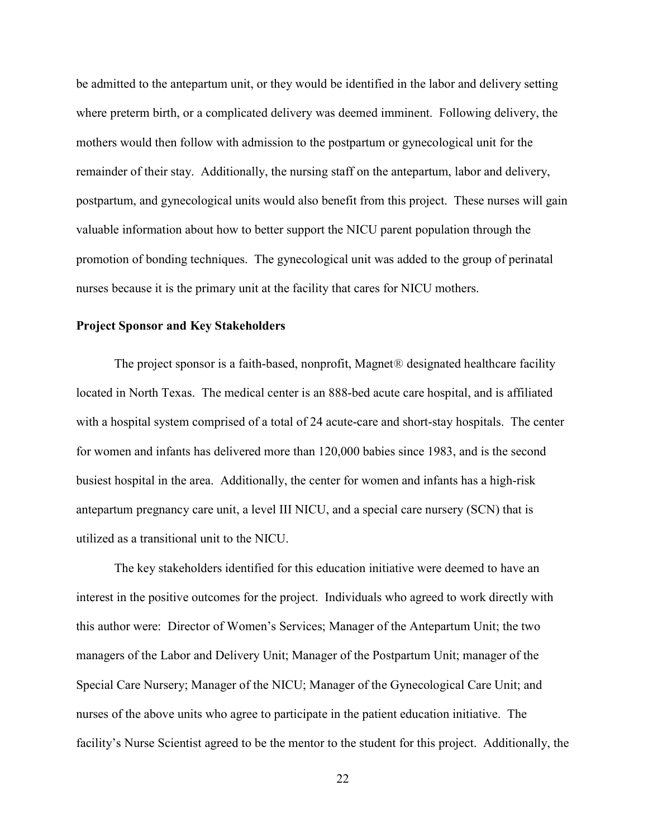be admitted to the antepartum unit, or they would be identified in the labor and delivery setting where preterm birth, or a complicated delivery was deemed imminent. Following delivery, the mothers would then follow with admission to the postpartum or gynecological unit for the remainder of their stay. Additionally, the nursing staff on the antepartum, labor and delivery, postpartum, and gynecological units would also benefit from this project. These nurses will gain valuable information about how to better support the NICU parent population through the promotion of bonding techniques. The gynecological unit was added to the group of perinatal nurses because it is the primary unit at the facility that cares for NICU mothers.

#### Project Sponsor and Key Stakeholders

The project sponsor is a faith-based, nonprofit, Magnet® designated healthcare facility located in North Texas. The medical center is an 888-bed acute care hospital, and is affiliated with a hospital system comprised of a total of 24 acute-care and short-stay hospitals. The center for women and infants has delivered more than 120,000 babies since 1983, and is the second busiest hospital in the area. Additionally, the center for women and infants has a high-risk antepartum pregnancy care unit, a level III NICU, and a special care nursery (SCN) that is utilized as a transitional unit to the NICU.

 The key stakeholders identified for this education initiative were deemed to have an interest in the positive outcomes for the project. Individuals who agreed to work directly with this author were: Director of Women's Services; Manager of the Antepartum Unit; the two managers of the Labor and Delivery Unit; Manager of the Postpartum Unit; manager of the Special Care Nursery; Manager of the NICU; Manager of the Gynecological Care Unit; and nurses of the above units who agree to participate in the patient education initiative. The facility's Nurse Scientist agreed to be the mentor to the student for this project. Additionally, the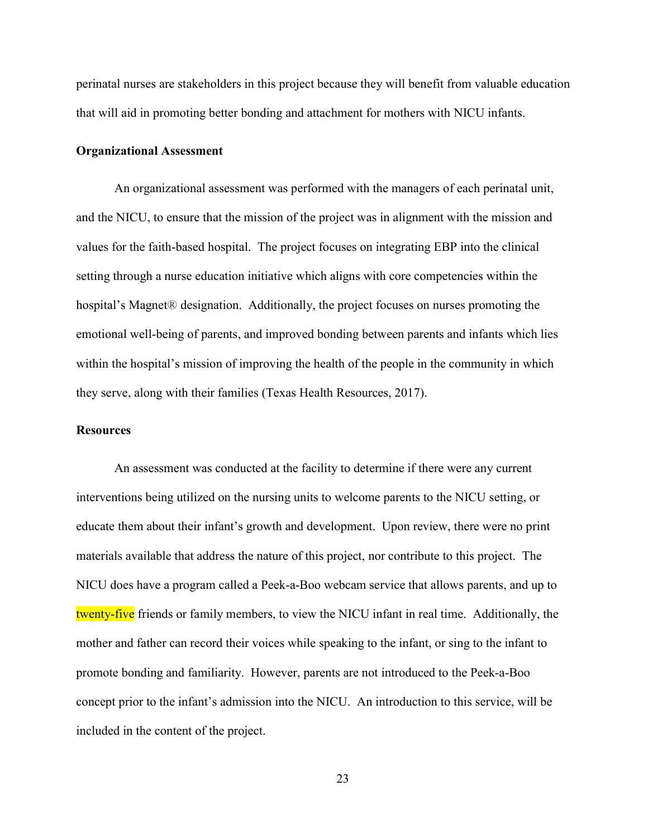perinatal nurses are stakeholders in this project because they will benefit from valuable education that will aid in promoting better bonding and attachment for mothers with NICU infants.

#### Organizational Assessment

 An organizational assessment was performed with the managers of each perinatal unit, and the NICU, to ensure that the mission of the project was in alignment with the mission and values for the faith-based hospital. The project focuses on integrating EBP into the clinical setting through a nurse education initiative which aligns with core competencies within the hospital's Magnet® designation. Additionally, the project focuses on nurses promoting the emotional well-being of parents, and improved bonding between parents and infants which lies within the hospital's mission of improving the health of the people in the community in which they serve, along with their families (Texas Health Resources, 2017).

#### **Resources**

An assessment was conducted at the facility to determine if there were any current interventions being utilized on the nursing units to welcome parents to the NICU setting, or educate them about their infant's growth and development. Upon review, there were no print materials available that address the nature of this project, nor contribute to this project. The NICU does have a program called a Peek-a-Boo webcam service that allows parents, and up to twenty-five friends or family members, to view the NICU infant in real time. Additionally, the mother and father can record their voices while speaking to the infant, or sing to the infant to promote bonding and familiarity. However, parents are not introduced to the Peek-a-Boo concept prior to the infant's admission into the NICU. An introduction to this service, will be included in the content of the project.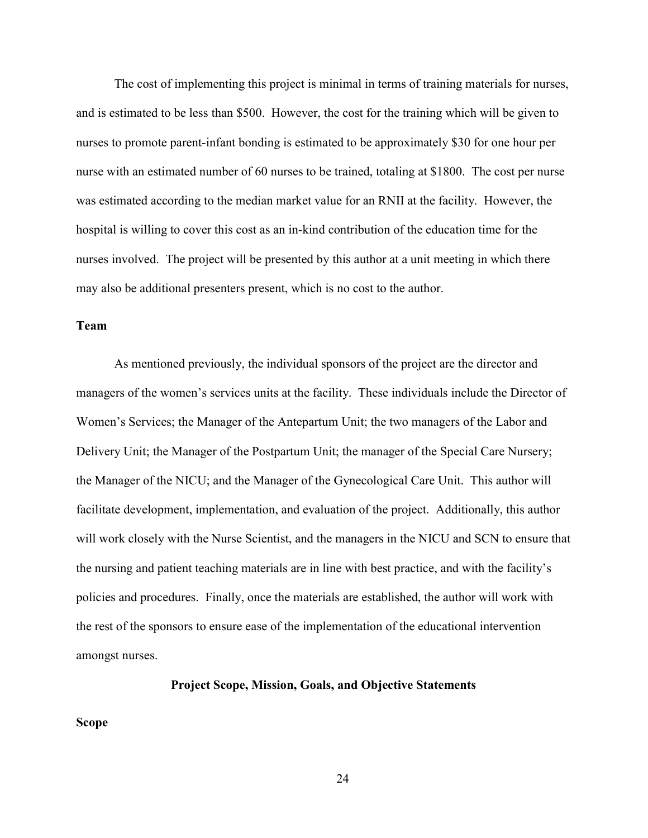The cost of implementing this project is minimal in terms of training materials for nurses, and is estimated to be less than \$500. However, the cost for the training which will be given to nurses to promote parent-infant bonding is estimated to be approximately \$30 for one hour per nurse with an estimated number of 60 nurses to be trained, totaling at \$1800. The cost per nurse was estimated according to the median market value for an RNII at the facility. However, the hospital is willing to cover this cost as an in-kind contribution of the education time for the nurses involved. The project will be presented by this author at a unit meeting in which there may also be additional presenters present, which is no cost to the author.

#### Team

As mentioned previously, the individual sponsors of the project are the director and managers of the women's services units at the facility. These individuals include the Director of Women's Services; the Manager of the Antepartum Unit; the two managers of the Labor and Delivery Unit; the Manager of the Postpartum Unit; the manager of the Special Care Nursery; the Manager of the NICU; and the Manager of the Gynecological Care Unit. This author will facilitate development, implementation, and evaluation of the project. Additionally, this author will work closely with the Nurse Scientist, and the managers in the NICU and SCN to ensure that the nursing and patient teaching materials are in line with best practice, and with the facility's policies and procedures. Finally, once the materials are established, the author will work with the rest of the sponsors to ensure ease of the implementation of the educational intervention amongst nurses.

Project Scope, Mission, Goals, and Objective Statements

Scope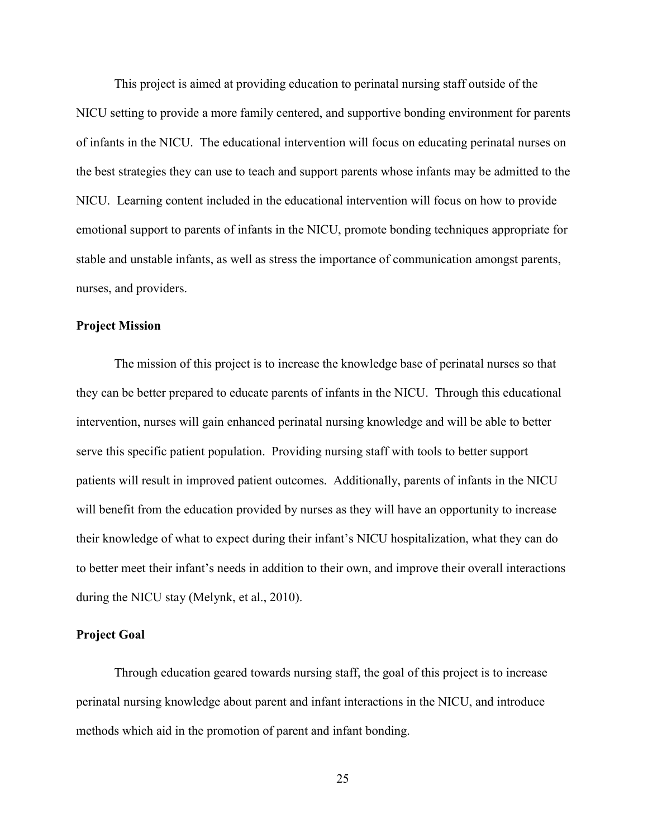This project is aimed at providing education to perinatal nursing staff outside of the NICU setting to provide a more family centered, and supportive bonding environment for parents of infants in the NICU. The educational intervention will focus on educating perinatal nurses on the best strategies they can use to teach and support parents whose infants may be admitted to the NICU. Learning content included in the educational intervention will focus on how to provide emotional support to parents of infants in the NICU, promote bonding techniques appropriate for stable and unstable infants, as well as stress the importance of communication amongst parents, nurses, and providers.

#### Project Mission

 The mission of this project is to increase the knowledge base of perinatal nurses so that they can be better prepared to educate parents of infants in the NICU. Through this educational intervention, nurses will gain enhanced perinatal nursing knowledge and will be able to better serve this specific patient population. Providing nursing staff with tools to better support patients will result in improved patient outcomes. Additionally, parents of infants in the NICU will benefit from the education provided by nurses as they will have an opportunity to increase their knowledge of what to expect during their infant's NICU hospitalization, what they can do to better meet their infant's needs in addition to their own, and improve their overall interactions during the NICU stay (Melynk, et al., 2010).

#### Project Goal

 Through education geared towards nursing staff, the goal of this project is to increase perinatal nursing knowledge about parent and infant interactions in the NICU, and introduce methods which aid in the promotion of parent and infant bonding.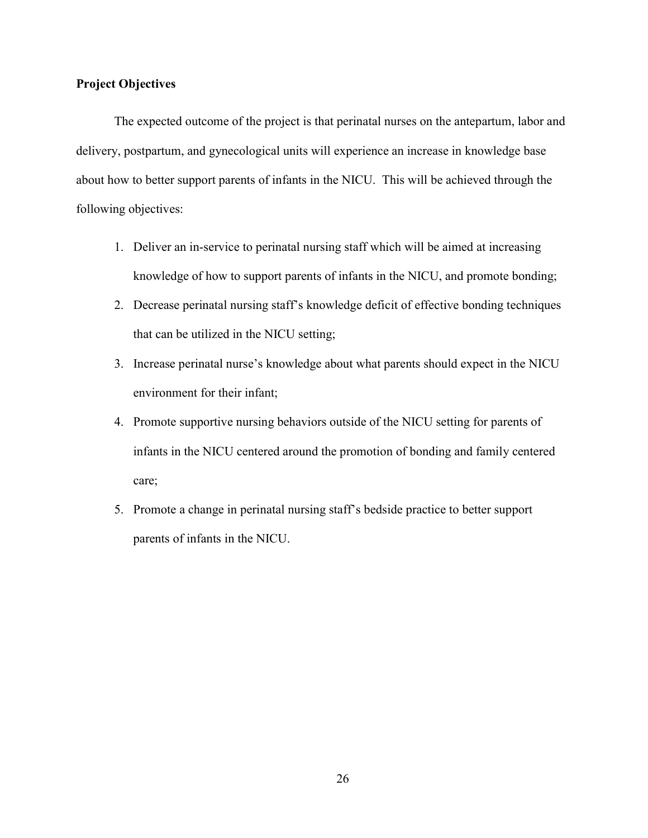#### Project Objectives

The expected outcome of the project is that perinatal nurses on the antepartum, labor and delivery, postpartum, and gynecological units will experience an increase in knowledge base about how to better support parents of infants in the NICU. This will be achieved through the following objectives:

- 1. Deliver an in-service to perinatal nursing staff which will be aimed at increasing knowledge of how to support parents of infants in the NICU, and promote bonding;
- 2. Decrease perinatal nursing staff's knowledge deficit of effective bonding techniques that can be utilized in the NICU setting;
- 3. Increase perinatal nurse's knowledge about what parents should expect in the NICU environment for their infant;
- 4. Promote supportive nursing behaviors outside of the NICU setting for parents of infants in the NICU centered around the promotion of bonding and family centered care;
- 5. Promote a change in perinatal nursing staff's bedside practice to better support parents of infants in the NICU.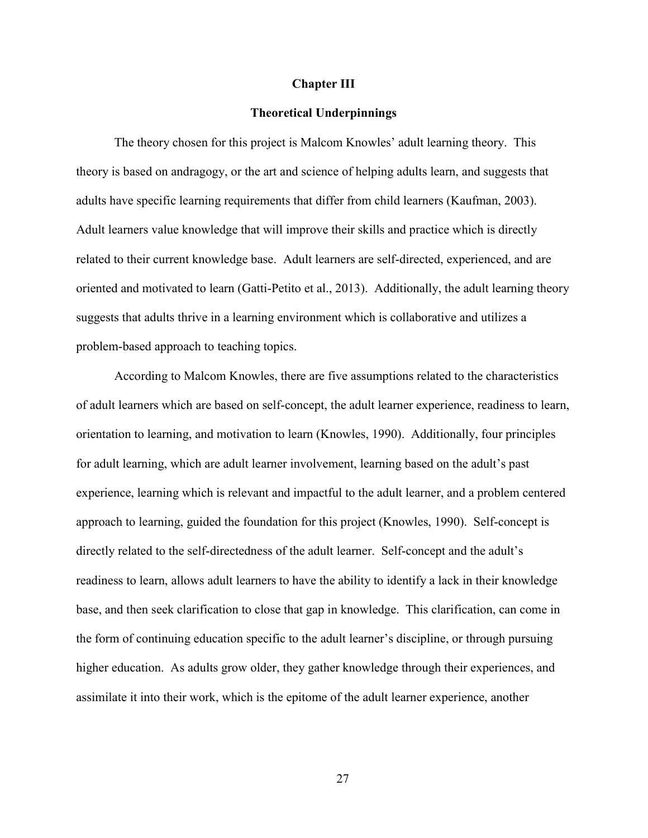#### Chapter III

#### Theoretical Underpinnings

 The theory chosen for this project is Malcom Knowles' adult learning theory. This theory is based on andragogy, or the art and science of helping adults learn, and suggests that adults have specific learning requirements that differ from child learners (Kaufman, 2003). Adult learners value knowledge that will improve their skills and practice which is directly related to their current knowledge base. Adult learners are self-directed, experienced, and are oriented and motivated to learn (Gatti-Petito et al., 2013). Additionally, the adult learning theory suggests that adults thrive in a learning environment which is collaborative and utilizes a problem-based approach to teaching topics.

According to Malcom Knowles, there are five assumptions related to the characteristics of adult learners which are based on self-concept, the adult learner experience, readiness to learn, orientation to learning, and motivation to learn (Knowles, 1990). Additionally, four principles for adult learning, which are adult learner involvement, learning based on the adult's past experience, learning which is relevant and impactful to the adult learner, and a problem centered approach to learning, guided the foundation for this project (Knowles, 1990). Self-concept is directly related to the self-directedness of the adult learner. Self-concept and the adult's readiness to learn, allows adult learners to have the ability to identify a lack in their knowledge base, and then seek clarification to close that gap in knowledge. This clarification, can come in the form of continuing education specific to the adult learner's discipline, or through pursuing higher education. As adults grow older, they gather knowledge through their experiences, and assimilate it into their work, which is the epitome of the adult learner experience, another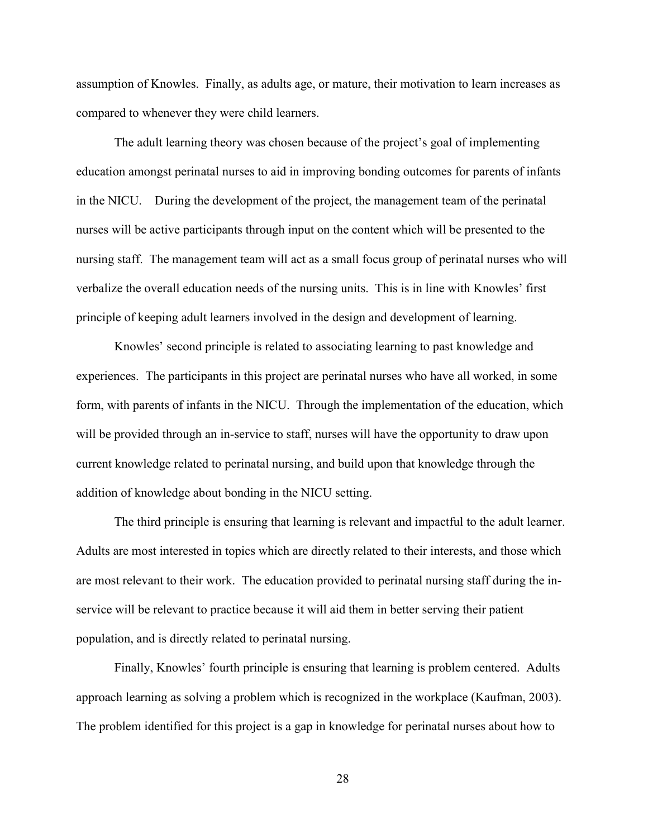assumption of Knowles. Finally, as adults age, or mature, their motivation to learn increases as compared to whenever they were child learners.

The adult learning theory was chosen because of the project's goal of implementing education amongst perinatal nurses to aid in improving bonding outcomes for parents of infants in the NICU. During the development of the project, the management team of the perinatal nurses will be active participants through input on the content which will be presented to the nursing staff. The management team will act as a small focus group of perinatal nurses who will verbalize the overall education needs of the nursing units. This is in line with Knowles' first principle of keeping adult learners involved in the design and development of learning.

Knowles' second principle is related to associating learning to past knowledge and experiences. The participants in this project are perinatal nurses who have all worked, in some form, with parents of infants in the NICU. Through the implementation of the education, which will be provided through an in-service to staff, nurses will have the opportunity to draw upon current knowledge related to perinatal nursing, and build upon that knowledge through the addition of knowledge about bonding in the NICU setting.

The third principle is ensuring that learning is relevant and impactful to the adult learner. Adults are most interested in topics which are directly related to their interests, and those which are most relevant to their work. The education provided to perinatal nursing staff during the inservice will be relevant to practice because it will aid them in better serving their patient population, and is directly related to perinatal nursing.

Finally, Knowles' fourth principle is ensuring that learning is problem centered. Adults approach learning as solving a problem which is recognized in the workplace (Kaufman, 2003). The problem identified for this project is a gap in knowledge for perinatal nurses about how to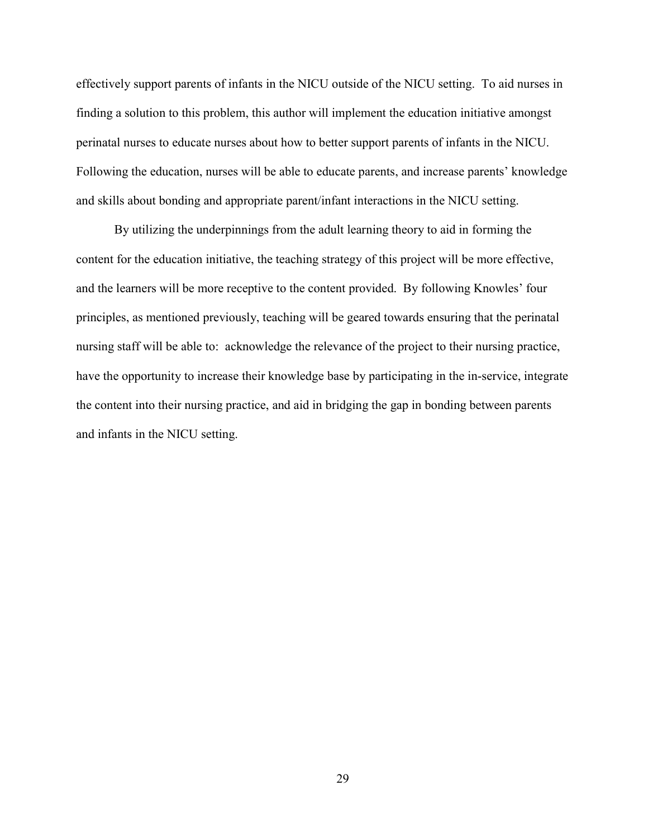effectively support parents of infants in the NICU outside of the NICU setting. To aid nurses in finding a solution to this problem, this author will implement the education initiative amongst perinatal nurses to educate nurses about how to better support parents of infants in the NICU. Following the education, nurses will be able to educate parents, and increase parents' knowledge and skills about bonding and appropriate parent/infant interactions in the NICU setting.

By utilizing the underpinnings from the adult learning theory to aid in forming the content for the education initiative, the teaching strategy of this project will be more effective, and the learners will be more receptive to the content provided. By following Knowles' four principles, as mentioned previously, teaching will be geared towards ensuring that the perinatal nursing staff will be able to: acknowledge the relevance of the project to their nursing practice, have the opportunity to increase their knowledge base by participating in the in-service, integrate the content into their nursing practice, and aid in bridging the gap in bonding between parents and infants in the NICU setting.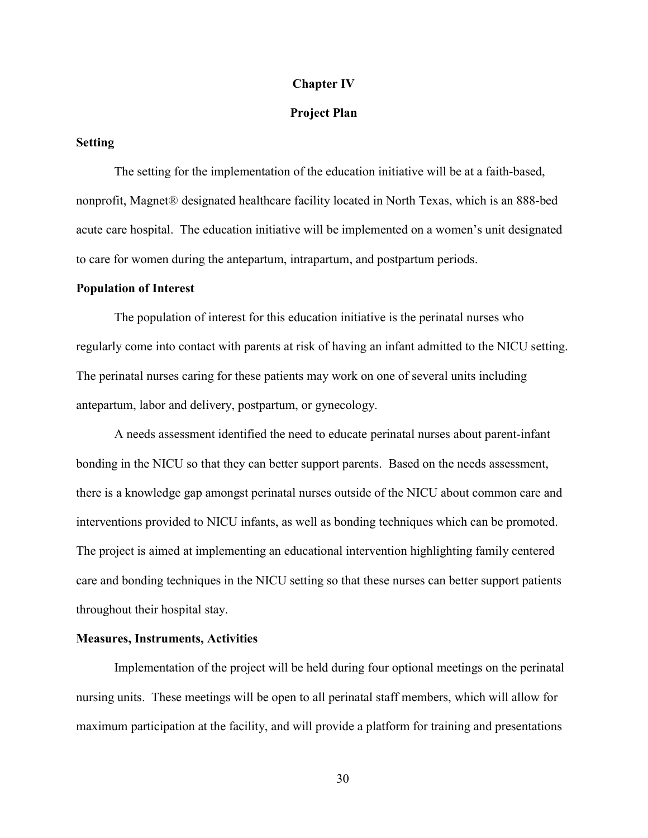#### Chapter IV

#### Project Plan

#### Setting

 The setting for the implementation of the education initiative will be at a faith-based, nonprofit, Magnet® designated healthcare facility located in North Texas, which is an 888-bed acute care hospital. The education initiative will be implemented on a women's unit designated to care for women during the antepartum, intrapartum, and postpartum periods.

#### Population of Interest

The population of interest for this education initiative is the perinatal nurses who regularly come into contact with parents at risk of having an infant admitted to the NICU setting. The perinatal nurses caring for these patients may work on one of several units including antepartum, labor and delivery, postpartum, or gynecology.

A needs assessment identified the need to educate perinatal nurses about parent-infant bonding in the NICU so that they can better support parents. Based on the needs assessment, there is a knowledge gap amongst perinatal nurses outside of the NICU about common care and interventions provided to NICU infants, as well as bonding techniques which can be promoted. The project is aimed at implementing an educational intervention highlighting family centered care and bonding techniques in the NICU setting so that these nurses can better support patients throughout their hospital stay.

#### Measures, Instruments, Activities

Implementation of the project will be held during four optional meetings on the perinatal nursing units. These meetings will be open to all perinatal staff members, which will allow for maximum participation at the facility, and will provide a platform for training and presentations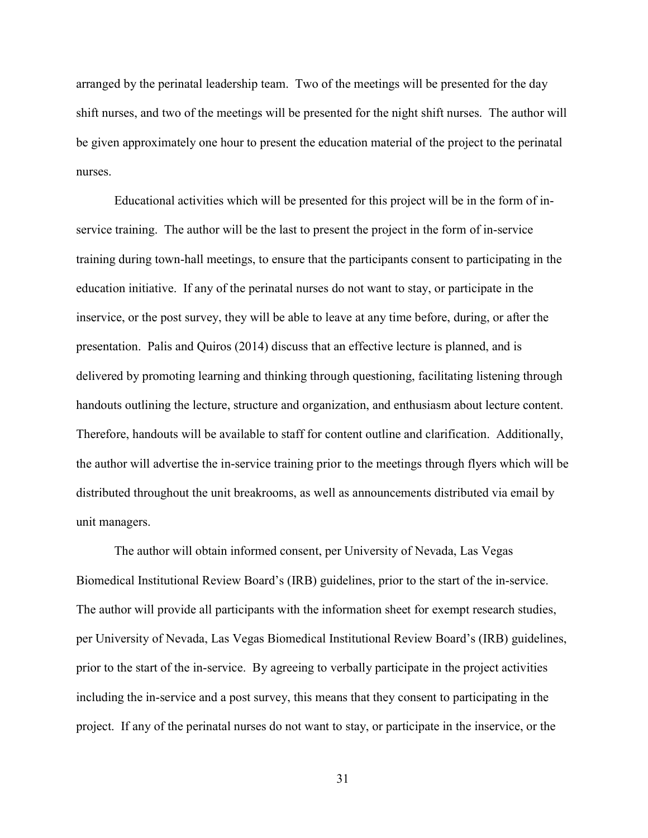arranged by the perinatal leadership team. Two of the meetings will be presented for the day shift nurses, and two of the meetings will be presented for the night shift nurses. The author will be given approximately one hour to present the education material of the project to the perinatal nurses.

Educational activities which will be presented for this project will be in the form of inservice training. The author will be the last to present the project in the form of in-service training during town-hall meetings, to ensure that the participants consent to participating in the education initiative. If any of the perinatal nurses do not want to stay, or participate in the inservice, or the post survey, they will be able to leave at any time before, during, or after the presentation. Palis and Quiros (2014) discuss that an effective lecture is planned, and is delivered by promoting learning and thinking through questioning, facilitating listening through handouts outlining the lecture, structure and organization, and enthusiasm about lecture content. Therefore, handouts will be available to staff for content outline and clarification. Additionally, the author will advertise the in-service training prior to the meetings through flyers which will be distributed throughout the unit breakrooms, as well as announcements distributed via email by unit managers.

 The author will obtain informed consent, per University of Nevada, Las Vegas Biomedical Institutional Review Board's (IRB) guidelines, prior to the start of the in-service. The author will provide all participants with the information sheet for exempt research studies, per University of Nevada, Las Vegas Biomedical Institutional Review Board's (IRB) guidelines, prior to the start of the in-service. By agreeing to verbally participate in the project activities including the in-service and a post survey, this means that they consent to participating in the project. If any of the perinatal nurses do not want to stay, or participate in the inservice, or the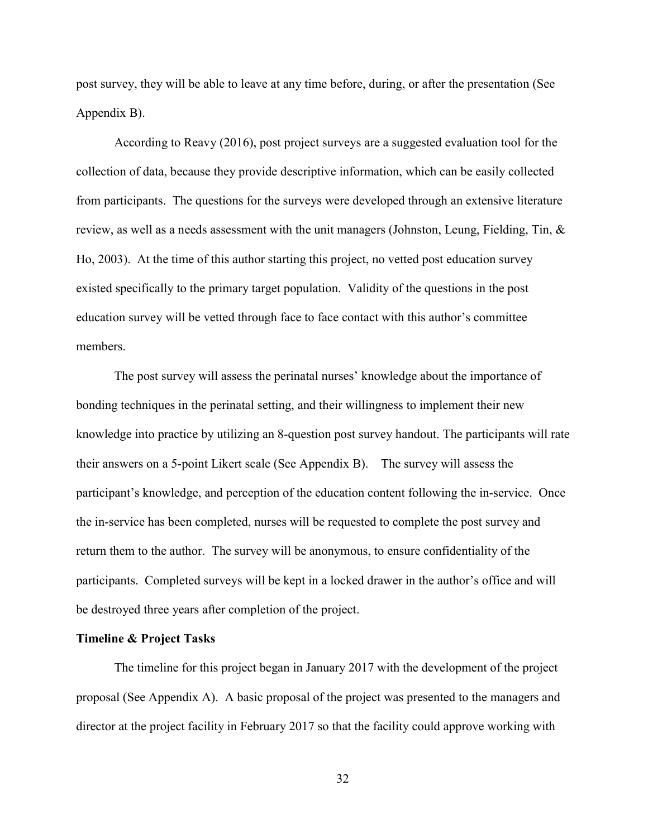post survey, they will be able to leave at any time before, during, or after the presentation (See Appendix B).

According to Reavy (2016), post project surveys are a suggested evaluation tool for the collection of data, because they provide descriptive information, which can be easily collected from participants. The questions for the surveys were developed through an extensive literature review, as well as a needs assessment with the unit managers (Johnston, Leung, Fielding, Tin, & Ho, 2003). At the time of this author starting this project, no vetted post education survey existed specifically to the primary target population. Validity of the questions in the post education survey will be vetted through face to face contact with this author's committee members.

The post survey will assess the perinatal nurses' knowledge about the importance of bonding techniques in the perinatal setting, and their willingness to implement their new knowledge into practice by utilizing an 8-question post survey handout. The participants will rate their answers on a 5-point Likert scale (See Appendix B). The survey will assess the participant's knowledge, and perception of the education content following the in-service. Once the in-service has been completed, nurses will be requested to complete the post survey and return them to the author. The survey will be anonymous, to ensure confidentiality of the participants. Completed surveys will be kept in a locked drawer in the author's office and will be destroyed three years after completion of the project.

#### Timeline & Project Tasks

The timeline for this project began in January 2017 with the development of the project proposal (See Appendix A). A basic proposal of the project was presented to the managers and director at the project facility in February 2017 so that the facility could approve working with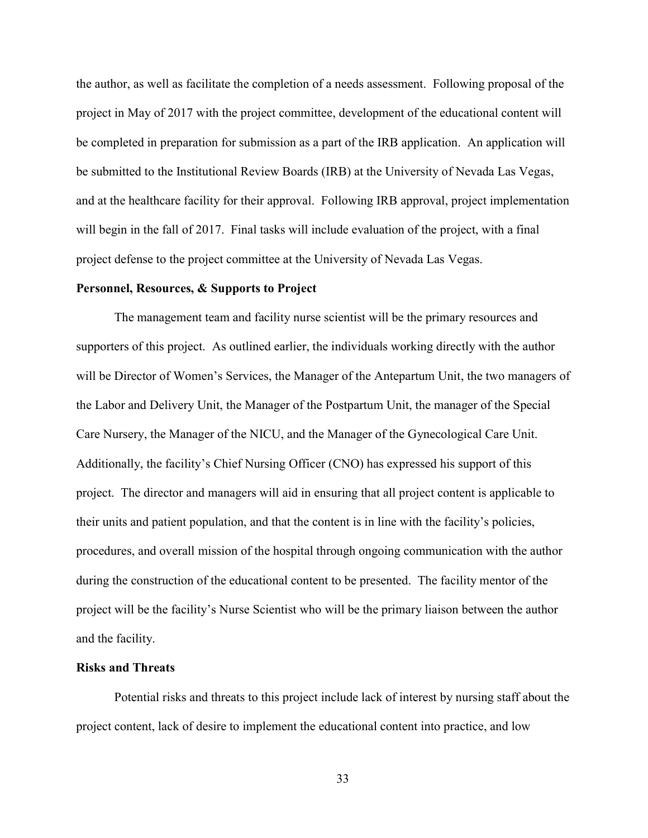the author, as well as facilitate the completion of a needs assessment. Following proposal of the project in May of 2017 with the project committee, development of the educational content will be completed in preparation for submission as a part of the IRB application. An application will be submitted to the Institutional Review Boards (IRB) at the University of Nevada Las Vegas, and at the healthcare facility for their approval. Following IRB approval, project implementation will begin in the fall of 2017. Final tasks will include evaluation of the project, with a final project defense to the project committee at the University of Nevada Las Vegas.

#### Personnel, Resources, & Supports to Project

 The management team and facility nurse scientist will be the primary resources and supporters of this project. As outlined earlier, the individuals working directly with the author will be Director of Women's Services, the Manager of the Antepartum Unit, the two managers of the Labor and Delivery Unit, the Manager of the Postpartum Unit, the manager of the Special Care Nursery, the Manager of the NICU, and the Manager of the Gynecological Care Unit. Additionally, the facility's Chief Nursing Officer (CNO) has expressed his support of this project. The director and managers will aid in ensuring that all project content is applicable to their units and patient population, and that the content is in line with the facility's policies, procedures, and overall mission of the hospital through ongoing communication with the author during the construction of the educational content to be presented. The facility mentor of the project will be the facility's Nurse Scientist who will be the primary liaison between the author and the facility.

#### Risks and Threats

 Potential risks and threats to this project include lack of interest by nursing staff about the project content, lack of desire to implement the educational content into practice, and low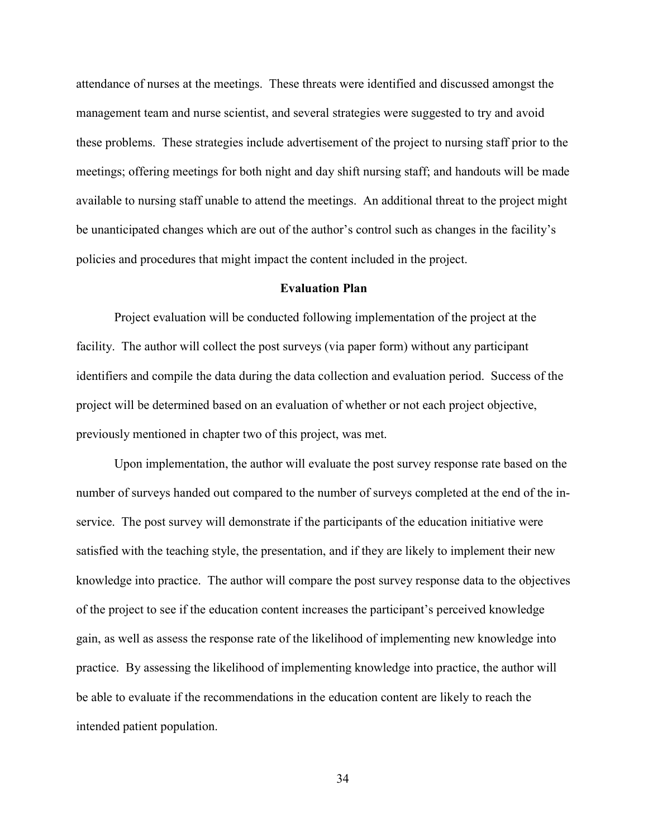attendance of nurses at the meetings. These threats were identified and discussed amongst the management team and nurse scientist, and several strategies were suggested to try and avoid these problems. These strategies include advertisement of the project to nursing staff prior to the meetings; offering meetings for both night and day shift nursing staff; and handouts will be made available to nursing staff unable to attend the meetings. An additional threat to the project might be unanticipated changes which are out of the author's control such as changes in the facility's policies and procedures that might impact the content included in the project.

#### Evaluation Plan

Project evaluation will be conducted following implementation of the project at the facility. The author will collect the post surveys (via paper form) without any participant identifiers and compile the data during the data collection and evaluation period. Success of the project will be determined based on an evaluation of whether or not each project objective, previously mentioned in chapter two of this project, was met.

Upon implementation, the author will evaluate the post survey response rate based on the number of surveys handed out compared to the number of surveys completed at the end of the inservice. The post survey will demonstrate if the participants of the education initiative were satisfied with the teaching style, the presentation, and if they are likely to implement their new knowledge into practice. The author will compare the post survey response data to the objectives of the project to see if the education content increases the participant's perceived knowledge gain, as well as assess the response rate of the likelihood of implementing new knowledge into practice. By assessing the likelihood of implementing knowledge into practice, the author will be able to evaluate if the recommendations in the education content are likely to reach the intended patient population.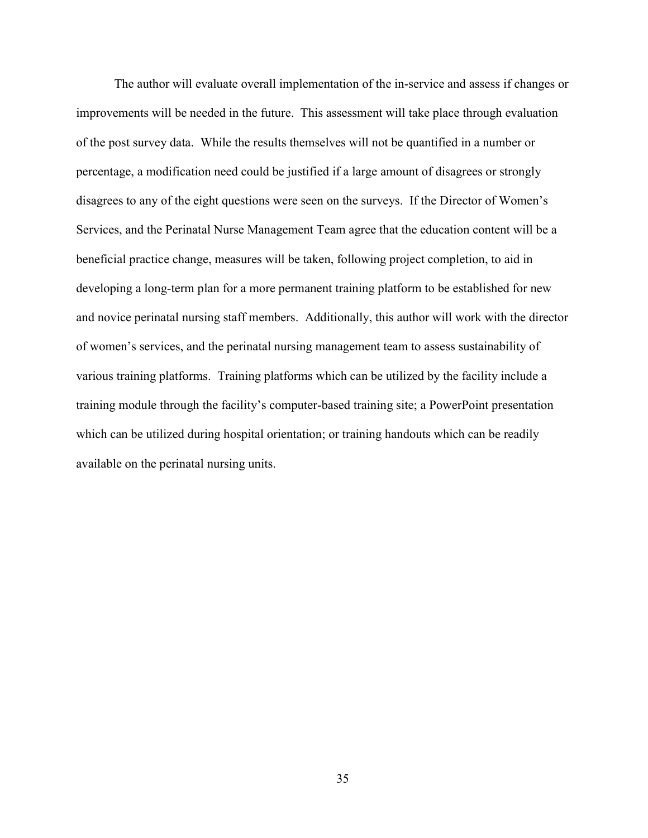The author will evaluate overall implementation of the in-service and assess if changes or improvements will be needed in the future. This assessment will take place through evaluation of the post survey data. While the results themselves will not be quantified in a number or percentage, a modification need could be justified if a large amount of disagrees or strongly disagrees to any of the eight questions were seen on the surveys. If the Director of Women's Services, and the Perinatal Nurse Management Team agree that the education content will be a beneficial practice change, measures will be taken, following project completion, to aid in developing a long-term plan for a more permanent training platform to be established for new and novice perinatal nursing staff members. Additionally, this author will work with the director of women's services, and the perinatal nursing management team to assess sustainability of various training platforms. Training platforms which can be utilized by the facility include a training module through the facility's computer-based training site; a PowerPoint presentation which can be utilized during hospital orientation; or training handouts which can be readily available on the perinatal nursing units.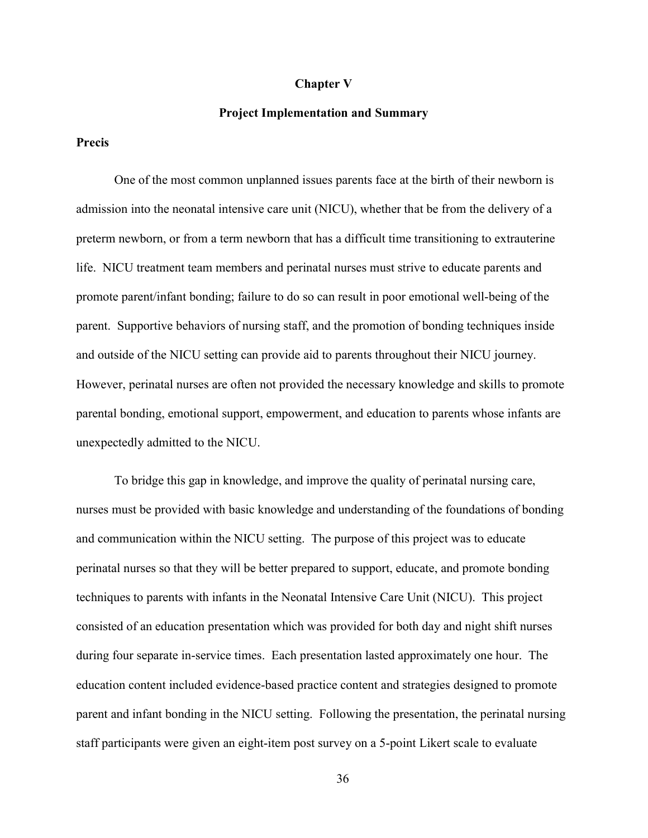#### Chapter V

#### Project Implementation and Summary

#### Precis

One of the most common unplanned issues parents face at the birth of their newborn is admission into the neonatal intensive care unit (NICU), whether that be from the delivery of a preterm newborn, or from a term newborn that has a difficult time transitioning to extrauterine life. NICU treatment team members and perinatal nurses must strive to educate parents and promote parent/infant bonding; failure to do so can result in poor emotional well-being of the parent. Supportive behaviors of nursing staff, and the promotion of bonding techniques inside and outside of the NICU setting can provide aid to parents throughout their NICU journey. However, perinatal nurses are often not provided the necessary knowledge and skills to promote parental bonding, emotional support, empowerment, and education to parents whose infants are unexpectedly admitted to the NICU.

To bridge this gap in knowledge, and improve the quality of perinatal nursing care, nurses must be provided with basic knowledge and understanding of the foundations of bonding and communication within the NICU setting. The purpose of this project was to educate perinatal nurses so that they will be better prepared to support, educate, and promote bonding techniques to parents with infants in the Neonatal Intensive Care Unit (NICU). This project consisted of an education presentation which was provided for both day and night shift nurses during four separate in-service times. Each presentation lasted approximately one hour. The education content included evidence-based practice content and strategies designed to promote parent and infant bonding in the NICU setting. Following the presentation, the perinatal nursing staff participants were given an eight-item post survey on a 5-point Likert scale to evaluate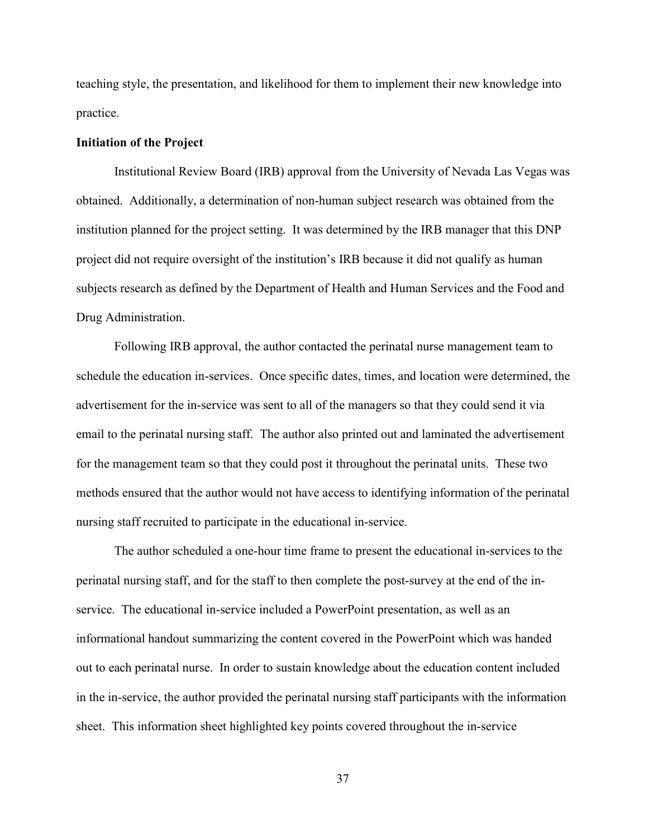teaching style, the presentation, and likelihood for them to implement their new knowledge into practice.

#### Initiation of the Project

Institutional Review Board (IRB) approval from the University of Nevada Las Vegas was obtained. Additionally, a determination of non-human subject research was obtained from the institution planned for the project setting. It was determined by the IRB manager that this DNP project did not require oversight of the institution's IRB because it did not qualify as human subjects research as defined by the Department of Health and Human Services and the Food and Drug Administration.

Following IRB approval, the author contacted the perinatal nurse management team to schedule the education in-services. Once specific dates, times, and location were determined, the advertisement for the in-service was sent to all of the managers so that they could send it via email to the perinatal nursing staff. The author also printed out and laminated the advertisement for the management team so that they could post it throughout the perinatal units. These two methods ensured that the author would not have access to identifying information of the perinatal nursing staff recruited to participate in the educational in-service.

The author scheduled a one-hour time frame to present the educational in-services to the perinatal nursing staff, and for the staff to then complete the post-survey at the end of the inservice. The educational in-service included a PowerPoint presentation, as well as an informational handout summarizing the content covered in the PowerPoint which was handed out to each perinatal nurse. In order to sustain knowledge about the education content included in the in-service, the author provided the perinatal nursing staff participants with the information sheet. This information sheet highlighted key points covered throughout the in-service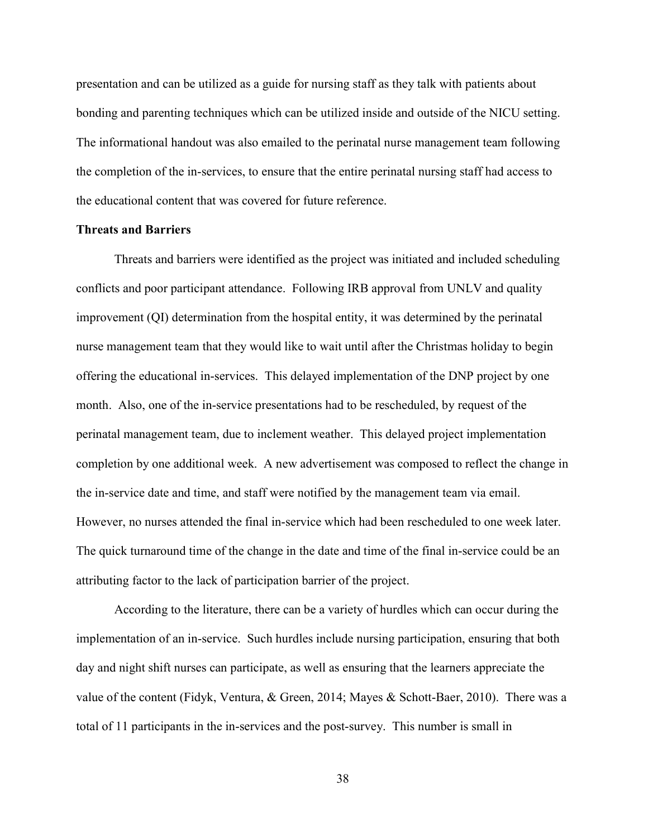presentation and can be utilized as a guide for nursing staff as they talk with patients about bonding and parenting techniques which can be utilized inside and outside of the NICU setting. The informational handout was also emailed to the perinatal nurse management team following the completion of the in-services, to ensure that the entire perinatal nursing staff had access to the educational content that was covered for future reference.

#### Threats and Barriers

 Threats and barriers were identified as the project was initiated and included scheduling conflicts and poor participant attendance. Following IRB approval from UNLV and quality improvement (QI) determination from the hospital entity, it was determined by the perinatal nurse management team that they would like to wait until after the Christmas holiday to begin offering the educational in-services. This delayed implementation of the DNP project by one month. Also, one of the in-service presentations had to be rescheduled, by request of the perinatal management team, due to inclement weather. This delayed project implementation completion by one additional week. A new advertisement was composed to reflect the change in the in-service date and time, and staff were notified by the management team via email. However, no nurses attended the final in-service which had been rescheduled to one week later. The quick turnaround time of the change in the date and time of the final in-service could be an attributing factor to the lack of participation barrier of the project.

According to the literature, there can be a variety of hurdles which can occur during the implementation of an in-service. Such hurdles include nursing participation, ensuring that both day and night shift nurses can participate, as well as ensuring that the learners appreciate the value of the content (Fidyk, Ventura, & Green, 2014; Mayes & Schott-Baer, 2010). There was a total of 11 participants in the in-services and the post-survey. This number is small in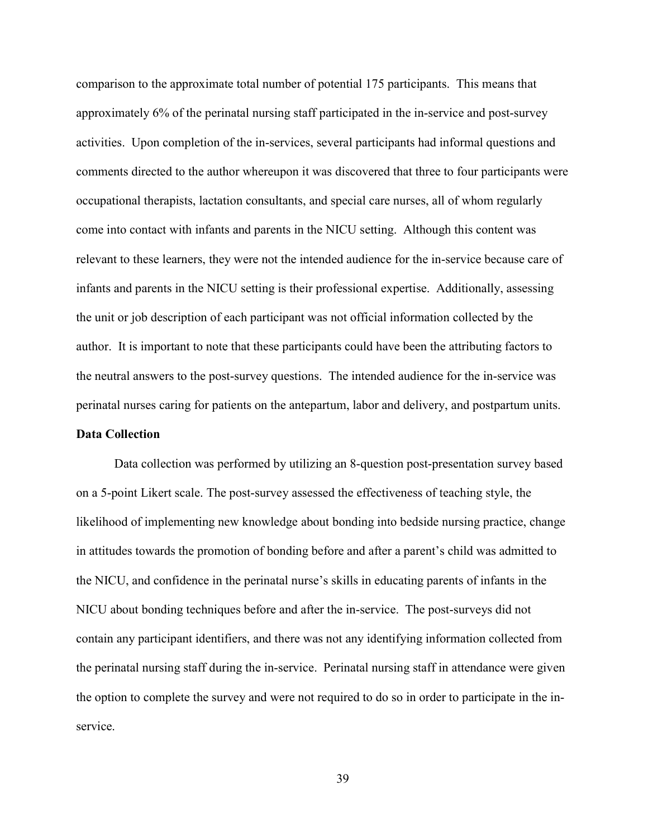comparison to the approximate total number of potential 175 participants. This means that approximately 6% of the perinatal nursing staff participated in the in-service and post-survey activities. Upon completion of the in-services, several participants had informal questions and comments directed to the author whereupon it was discovered that three to four participants were occupational therapists, lactation consultants, and special care nurses, all of whom regularly come into contact with infants and parents in the NICU setting. Although this content was relevant to these learners, they were not the intended audience for the in-service because care of infants and parents in the NICU setting is their professional expertise. Additionally, assessing the unit or job description of each participant was not official information collected by the author. It is important to note that these participants could have been the attributing factors to the neutral answers to the post-survey questions. The intended audience for the in-service was perinatal nurses caring for patients on the antepartum, labor and delivery, and postpartum units. Data Collection

 Data collection was performed by utilizing an 8-question post-presentation survey based on a 5-point Likert scale. The post-survey assessed the effectiveness of teaching style, the likelihood of implementing new knowledge about bonding into bedside nursing practice, change in attitudes towards the promotion of bonding before and after a parent's child was admitted to the NICU, and confidence in the perinatal nurse's skills in educating parents of infants in the NICU about bonding techniques before and after the in-service. The post-surveys did not contain any participant identifiers, and there was not any identifying information collected from the perinatal nursing staff during the in-service. Perinatal nursing staff in attendance were given the option to complete the survey and were not required to do so in order to participate in the inservice.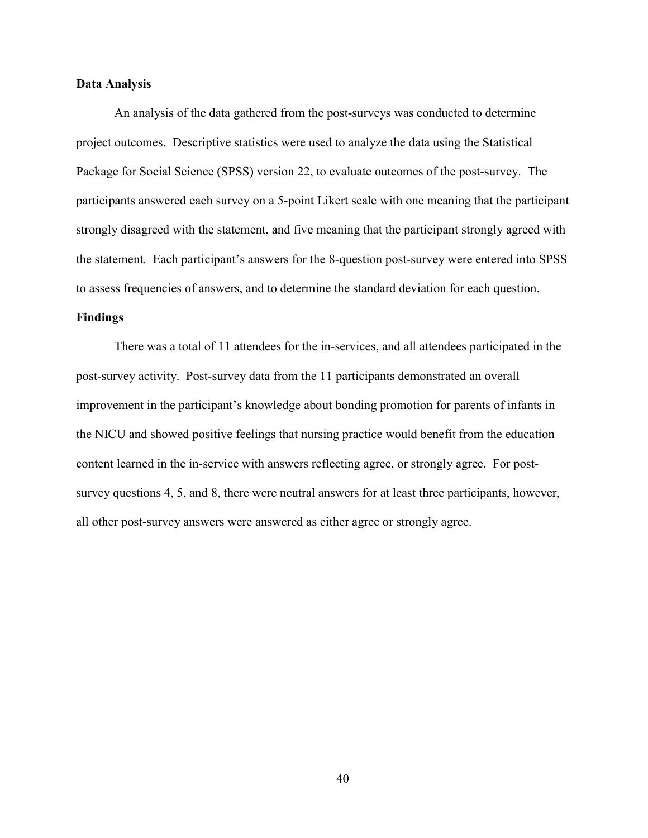#### Data Analysis

 An analysis of the data gathered from the post-surveys was conducted to determine project outcomes. Descriptive statistics were used to analyze the data using the Statistical Package for Social Science (SPSS) version 22, to evaluate outcomes of the post-survey. The participants answered each survey on a 5-point Likert scale with one meaning that the participant strongly disagreed with the statement, and five meaning that the participant strongly agreed with the statement. Each participant's answers for the 8-question post-survey were entered into SPSS to assess frequencies of answers, and to determine the standard deviation for each question.

#### Findings

There was a total of 11 attendees for the in-services, and all attendees participated in the post-survey activity. Post-survey data from the 11 participants demonstrated an overall improvement in the participant's knowledge about bonding promotion for parents of infants in the NICU and showed positive feelings that nursing practice would benefit from the education content learned in the in-service with answers reflecting agree, or strongly agree. For postsurvey questions 4, 5, and 8, there were neutral answers for at least three participants, however, all other post-survey answers were answered as either agree or strongly agree.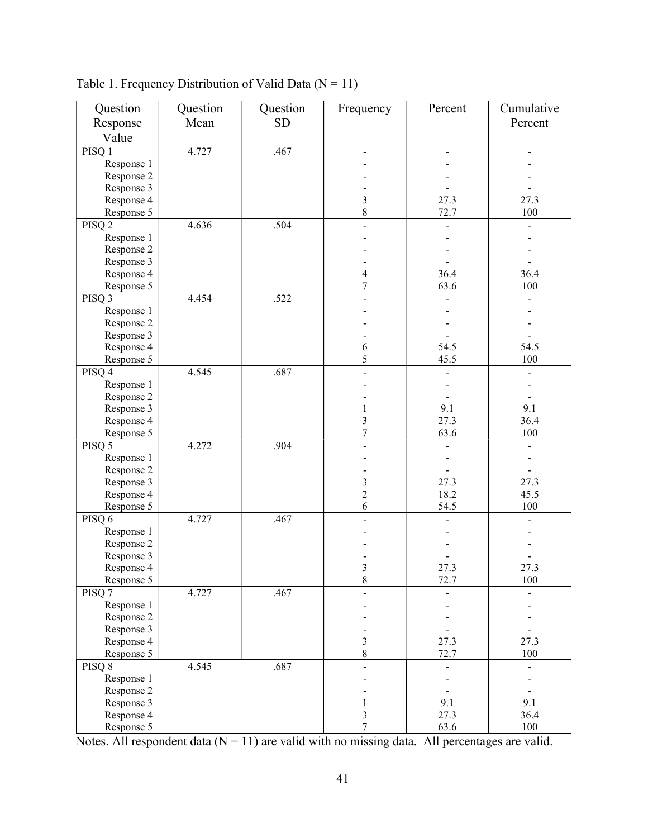| Question          | Question | Question  | Frequency      | Percent | Cumulative    |
|-------------------|----------|-----------|----------------|---------|---------------|
| Response          | Mean     | <b>SD</b> |                |         | Percent       |
| Value             |          |           |                |         |               |
| PISQ 1            | 4.727    | .467      |                |         |               |
| Response 1        |          |           |                |         |               |
|                   |          |           |                |         |               |
| Response 2        |          |           |                |         |               |
| Response 3        |          |           |                |         |               |
| Response 4        |          |           | 3              | 27.3    | 27.3          |
| Response 5        |          |           | 8              | 72.7    | 100           |
| PISQ <sub>2</sub> | 4.636    | .504      |                |         |               |
| Response 1        |          |           |                |         |               |
| Response 2        |          |           |                |         |               |
| Response 3        |          |           |                |         |               |
| Response 4        |          |           | 4              | 36.4    | 36.4          |
| Response 5        |          |           | 7              | 63.6    | 100           |
| PISQ <sub>3</sub> | 4.454    | .522      |                |         |               |
| Response 1        |          |           |                |         |               |
| Response 2        |          |           |                |         |               |
| Response 3        |          |           |                |         |               |
| Response 4        |          |           | 6              | 54.5    | 54.5          |
| Response 5        |          |           | 5              | 45.5    | 100           |
| PISQ 4            | 4.545    | .687      |                |         |               |
| Response 1        |          |           |                |         |               |
| Response 2        |          |           |                |         |               |
| Response 3        |          |           | 1              | 9.1     | 9.1           |
| Response 4        |          |           | 3              | 27.3    | 36.4          |
| Response 5        |          |           | 7              | 63.6    | 100           |
| PISQ 5            | 4.272    | .904      |                |         |               |
| Response 1        |          |           |                |         |               |
| Response 2        |          |           |                |         |               |
| Response 3        |          |           | 3              | 27.3    | 27.3          |
| Response 4        |          |           | $\overline{2}$ | 18.2    | 45.5          |
| Response 5        |          |           | 6              | 54.5    | $100\,$       |
| PISQ 6            | 4.727    | .467      |                |         |               |
| Response 1        |          |           |                |         |               |
| Response 2        |          |           |                |         |               |
| Response 3        |          |           |                |         |               |
| Response 4        |          |           | 3              | 27.3    | 27.3          |
| Response 5        |          |           | $\,8\,$        | 72.7    | 100           |
| PISQ <sub>7</sub> | 4.727    | .467      |                |         |               |
| Response 1        |          |           |                |         |               |
| Response 2        |          |           |                |         |               |
| Response 3        |          |           |                |         |               |
| Response 4        |          |           | 3              | 27.3    | 27.3          |
| Response 5        |          |           | 8              | 72.7    | $100\,$       |
| PISQ 8            | 4.545    | .687      | $\overline{a}$ |         | $\frac{1}{2}$ |
| Response 1        |          |           |                |         |               |
| Response 2        |          |           |                |         |               |
| Response 3        |          |           | $\mathbf{1}$   | 9.1     | 9.1           |
| Response 4        |          |           | 3              | 27.3    | 36.4          |
| Response 5        |          |           | 7              | 63.6    | 100           |

Table 1. Frequency Distribution of Valid Data  $(N = 11)$ 

Notes. All respondent data  $(N = 11)$  are valid with no missing data. All percentages are valid.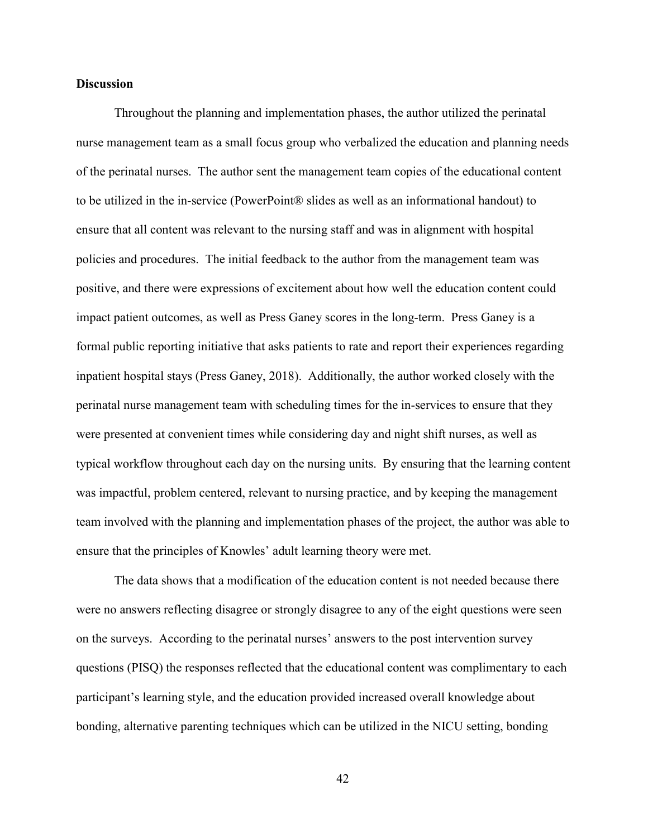#### **Discussion**

Throughout the planning and implementation phases, the author utilized the perinatal nurse management team as a small focus group who verbalized the education and planning needs of the perinatal nurses. The author sent the management team copies of the educational content to be utilized in the in-service (PowerPoint® slides as well as an informational handout) to ensure that all content was relevant to the nursing staff and was in alignment with hospital policies and procedures. The initial feedback to the author from the management team was positive, and there were expressions of excitement about how well the education content could impact patient outcomes, as well as Press Ganey scores in the long-term. Press Ganey is a formal public reporting initiative that asks patients to rate and report their experiences regarding inpatient hospital stays (Press Ganey, 2018). Additionally, the author worked closely with the perinatal nurse management team with scheduling times for the in-services to ensure that they were presented at convenient times while considering day and night shift nurses, as well as typical workflow throughout each day on the nursing units. By ensuring that the learning content was impactful, problem centered, relevant to nursing practice, and by keeping the management team involved with the planning and implementation phases of the project, the author was able to ensure that the principles of Knowles' adult learning theory were met.

The data shows that a modification of the education content is not needed because there were no answers reflecting disagree or strongly disagree to any of the eight questions were seen on the surveys. According to the perinatal nurses' answers to the post intervention survey questions (PISQ) the responses reflected that the educational content was complimentary to each participant's learning style, and the education provided increased overall knowledge about bonding, alternative parenting techniques which can be utilized in the NICU setting, bonding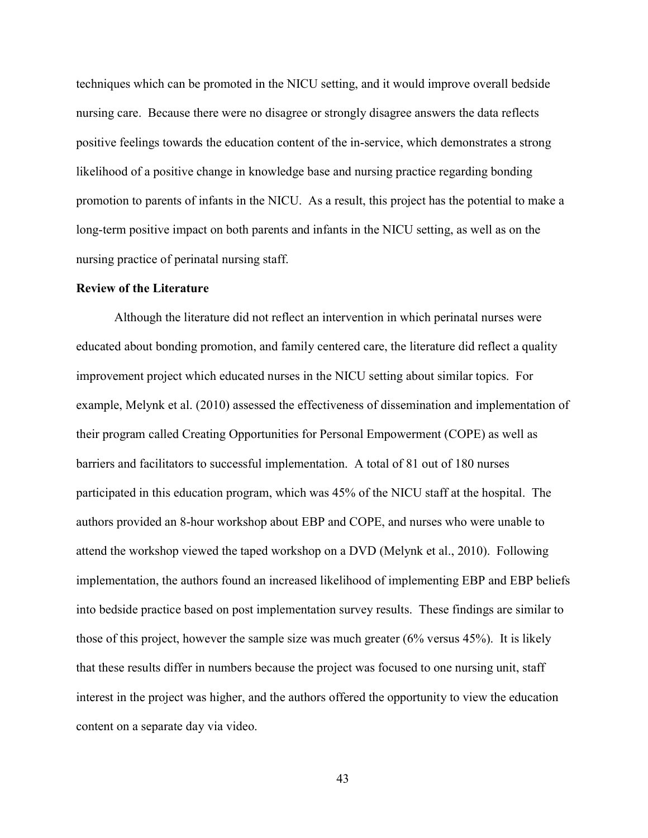techniques which can be promoted in the NICU setting, and it would improve overall bedside nursing care. Because there were no disagree or strongly disagree answers the data reflects positive feelings towards the education content of the in-service, which demonstrates a strong likelihood of a positive change in knowledge base and nursing practice regarding bonding promotion to parents of infants in the NICU. As a result, this project has the potential to make a long-term positive impact on both parents and infants in the NICU setting, as well as on the nursing practice of perinatal nursing staff.

#### Review of the Literature

 Although the literature did not reflect an intervention in which perinatal nurses were educated about bonding promotion, and family centered care, the literature did reflect a quality improvement project which educated nurses in the NICU setting about similar topics. For example, Melynk et al. (2010) assessed the effectiveness of dissemination and implementation of their program called Creating Opportunities for Personal Empowerment (COPE) as well as barriers and facilitators to successful implementation. A total of 81 out of 180 nurses participated in this education program, which was 45% of the NICU staff at the hospital. The authors provided an 8-hour workshop about EBP and COPE, and nurses who were unable to attend the workshop viewed the taped workshop on a DVD (Melynk et al., 2010). Following implementation, the authors found an increased likelihood of implementing EBP and EBP beliefs into bedside practice based on post implementation survey results. These findings are similar to those of this project, however the sample size was much greater (6% versus 45%). It is likely that these results differ in numbers because the project was focused to one nursing unit, staff interest in the project was higher, and the authors offered the opportunity to view the education content on a separate day via video.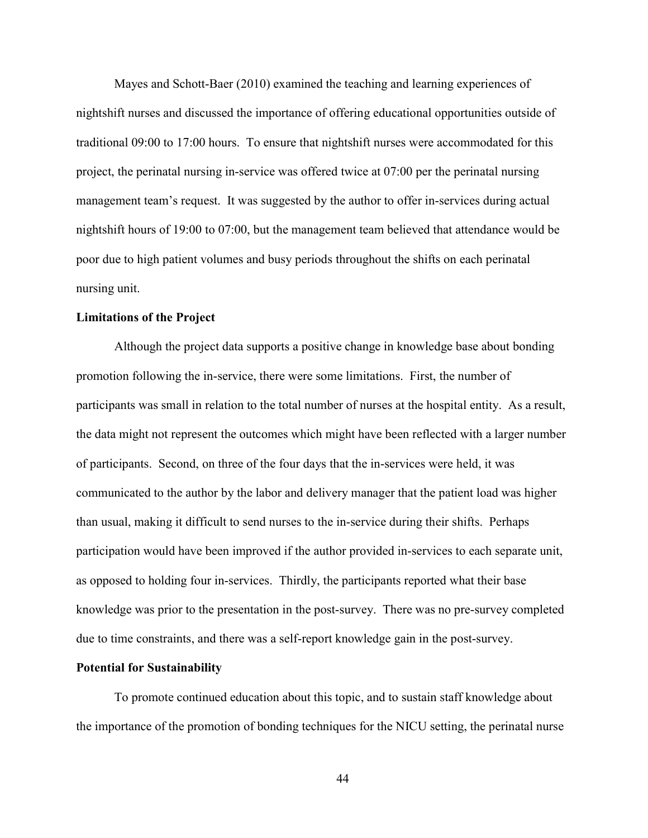Mayes and Schott-Baer (2010) examined the teaching and learning experiences of nightshift nurses and discussed the importance of offering educational opportunities outside of traditional 09:00 to 17:00 hours. To ensure that nightshift nurses were accommodated for this project, the perinatal nursing in-service was offered twice at 07:00 per the perinatal nursing management team's request. It was suggested by the author to offer in-services during actual nightshift hours of 19:00 to 07:00, but the management team believed that attendance would be poor due to high patient volumes and busy periods throughout the shifts on each perinatal nursing unit.

#### Limitations of the Project

 Although the project data supports a positive change in knowledge base about bonding promotion following the in-service, there were some limitations. First, the number of participants was small in relation to the total number of nurses at the hospital entity. As a result, the data might not represent the outcomes which might have been reflected with a larger number of participants. Second, on three of the four days that the in-services were held, it was communicated to the author by the labor and delivery manager that the patient load was higher than usual, making it difficult to send nurses to the in-service during their shifts. Perhaps participation would have been improved if the author provided in-services to each separate unit, as opposed to holding four in-services. Thirdly, the participants reported what their base knowledge was prior to the presentation in the post-survey. There was no pre-survey completed due to time constraints, and there was a self-report knowledge gain in the post-survey.

#### Potential for Sustainability

 To promote continued education about this topic, and to sustain staff knowledge about the importance of the promotion of bonding techniques for the NICU setting, the perinatal nurse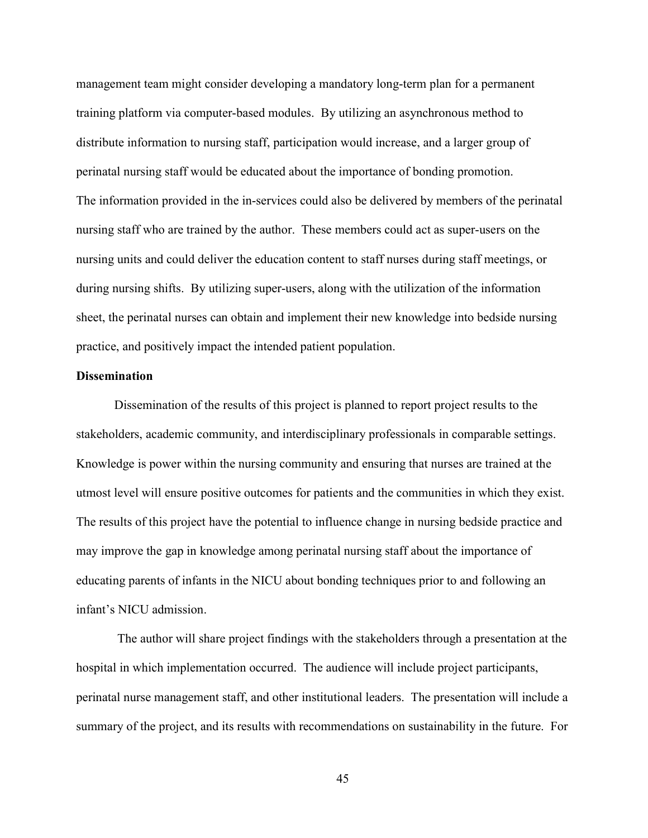management team might consider developing a mandatory long-term plan for a permanent training platform via computer-based modules. By utilizing an asynchronous method to distribute information to nursing staff, participation would increase, and a larger group of perinatal nursing staff would be educated about the importance of bonding promotion. The information provided in the in-services could also be delivered by members of the perinatal nursing staff who are trained by the author. These members could act as super-users on the nursing units and could deliver the education content to staff nurses during staff meetings, or during nursing shifts. By utilizing super-users, along with the utilization of the information sheet, the perinatal nurses can obtain and implement their new knowledge into bedside nursing practice, and positively impact the intended patient population.

#### **Dissemination**

 Dissemination of the results of this project is planned to report project results to the stakeholders, academic community, and interdisciplinary professionals in comparable settings. Knowledge is power within the nursing community and ensuring that nurses are trained at the utmost level will ensure positive outcomes for patients and the communities in which they exist. The results of this project have the potential to influence change in nursing bedside practice and may improve the gap in knowledge among perinatal nursing staff about the importance of educating parents of infants in the NICU about bonding techniques prior to and following an infant's NICU admission.

 The author will share project findings with the stakeholders through a presentation at the hospital in which implementation occurred. The audience will include project participants, perinatal nurse management staff, and other institutional leaders. The presentation will include a summary of the project, and its results with recommendations on sustainability in the future. For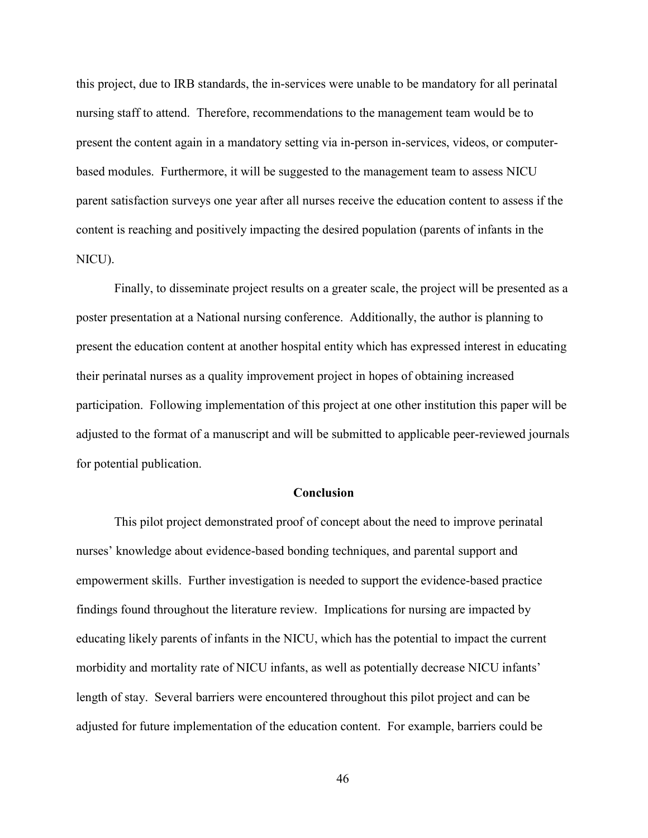this project, due to IRB standards, the in-services were unable to be mandatory for all perinatal nursing staff to attend. Therefore, recommendations to the management team would be to present the content again in a mandatory setting via in-person in-services, videos, or computerbased modules. Furthermore, it will be suggested to the management team to assess NICU parent satisfaction surveys one year after all nurses receive the education content to assess if the content is reaching and positively impacting the desired population (parents of infants in the NICU).

Finally, to disseminate project results on a greater scale, the project will be presented as a poster presentation at a National nursing conference. Additionally, the author is planning to present the education content at another hospital entity which has expressed interest in educating their perinatal nurses as a quality improvement project in hopes of obtaining increased participation. Following implementation of this project at one other institution this paper will be adjusted to the format of a manuscript and will be submitted to applicable peer-reviewed journals for potential publication.

#### Conclusion

 This pilot project demonstrated proof of concept about the need to improve perinatal nurses' knowledge about evidence-based bonding techniques, and parental support and empowerment skills. Further investigation is needed to support the evidence-based practice findings found throughout the literature review. Implications for nursing are impacted by educating likely parents of infants in the NICU, which has the potential to impact the current morbidity and mortality rate of NICU infants, as well as potentially decrease NICU infants' length of stay. Several barriers were encountered throughout this pilot project and can be adjusted for future implementation of the education content. For example, barriers could be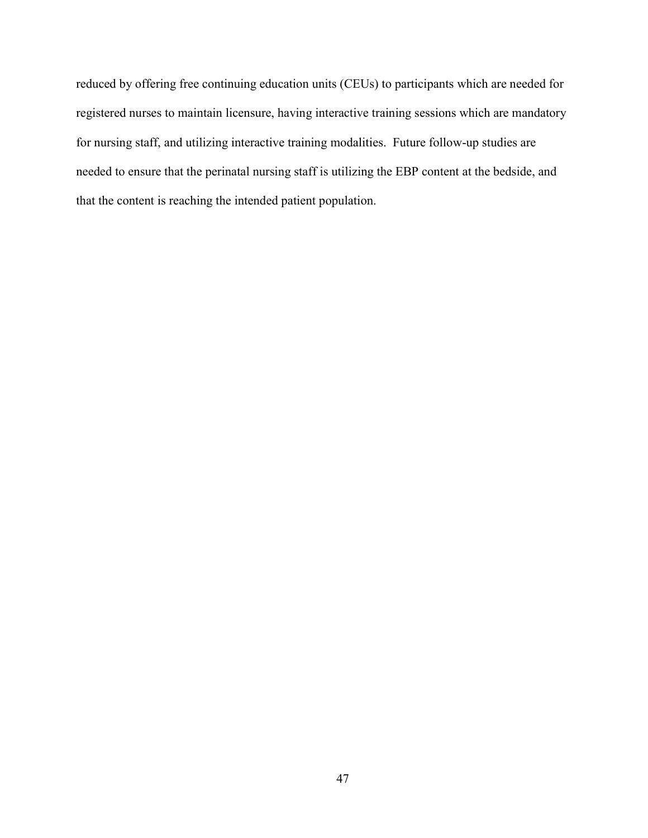reduced by offering free continuing education units (CEUs) to participants which are needed for registered nurses to maintain licensure, having interactive training sessions which are mandatory for nursing staff, and utilizing interactive training modalities. Future follow-up studies are needed to ensure that the perinatal nursing staff is utilizing the EBP content at the bedside, and that the content is reaching the intended patient population.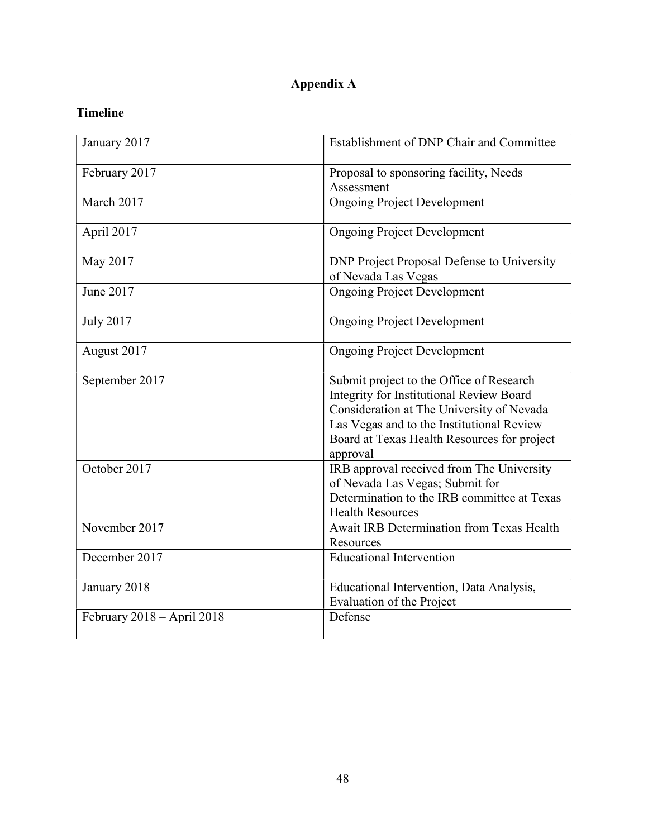## Appendix A

## Timeline

| January 2017               | Establishment of DNP Chair and Committee                                                                                                                                                                                                  |  |  |
|----------------------------|-------------------------------------------------------------------------------------------------------------------------------------------------------------------------------------------------------------------------------------------|--|--|
| February 2017              | Proposal to sponsoring facility, Needs                                                                                                                                                                                                    |  |  |
|                            | Assessment                                                                                                                                                                                                                                |  |  |
| March 2017                 | <b>Ongoing Project Development</b>                                                                                                                                                                                                        |  |  |
| April 2017                 | <b>Ongoing Project Development</b>                                                                                                                                                                                                        |  |  |
| May 2017                   | DNP Project Proposal Defense to University<br>of Nevada Las Vegas                                                                                                                                                                         |  |  |
| June 2017                  | <b>Ongoing Project Development</b>                                                                                                                                                                                                        |  |  |
| <b>July 2017</b>           | <b>Ongoing Project Development</b>                                                                                                                                                                                                        |  |  |
| August 2017                | <b>Ongoing Project Development</b>                                                                                                                                                                                                        |  |  |
| September 2017             | Submit project to the Office of Research<br>Integrity for Institutional Review Board<br>Consideration at The University of Nevada<br>Las Vegas and to the Institutional Review<br>Board at Texas Health Resources for project<br>approval |  |  |
| October 2017               | IRB approval received from The University<br>of Nevada Las Vegas; Submit for<br>Determination to the IRB committee at Texas<br><b>Health Resources</b>                                                                                    |  |  |
| November 2017              | Await IRB Determination from Texas Health<br>Resources                                                                                                                                                                                    |  |  |
| December 2017              | <b>Educational Intervention</b>                                                                                                                                                                                                           |  |  |
| January 2018               | Educational Intervention, Data Analysis,<br>Evaluation of the Project                                                                                                                                                                     |  |  |
| February 2018 - April 2018 | Defense                                                                                                                                                                                                                                   |  |  |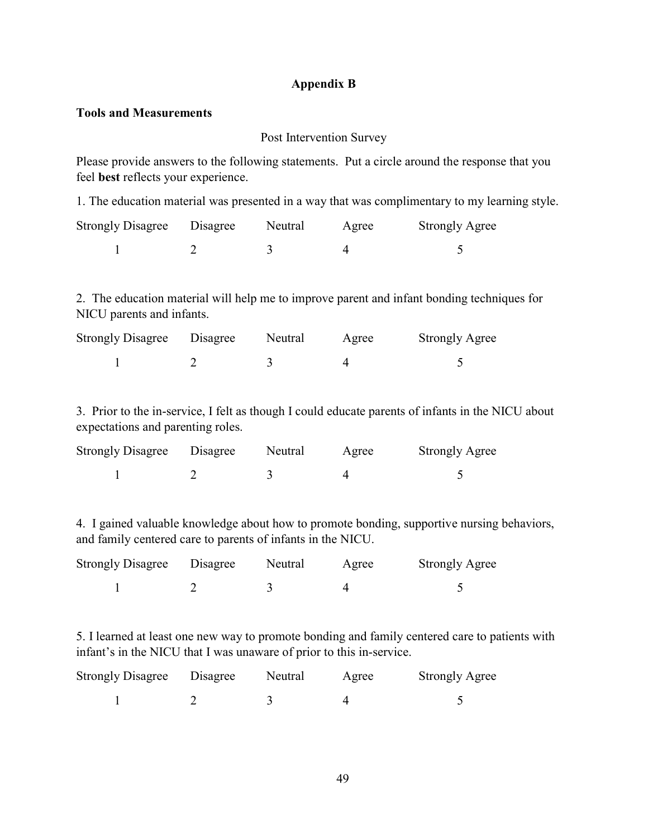#### Appendix B

#### Tools and Measurements

#### Post Intervention Survey

Please provide answers to the following statements. Put a circle around the response that you feel best reflects your experience.

1. The education material was presented in a way that was complimentary to my learning style.

| <b>Strongly Disagree</b> Disagree | Neutral | Agree | <b>Strongly Agree</b> |
|-----------------------------------|---------|-------|-----------------------|
|                                   |         |       |                       |

2. The education material will help me to improve parent and infant bonding techniques for NICU parents and infants.

| <b>Strongly Disagree</b> Disagree | Neutral | Agree | <b>Strongly Agree</b> |
|-----------------------------------|---------|-------|-----------------------|
|                                   |         |       |                       |

3. Prior to the in-service, I felt as though I could educate parents of infants in the NICU about expectations and parenting roles.

| <b>Strongly Disagree</b> Disagree | Neutral | Agree | <b>Strongly Agree</b> |
|-----------------------------------|---------|-------|-----------------------|
|                                   |         |       |                       |

4. I gained valuable knowledge about how to promote bonding, supportive nursing behaviors, and family centered care to parents of infants in the NICU.

| <b>Strongly Disagree</b> | Disagree | Neutral | Agree | <b>Strongly Agree</b> |
|--------------------------|----------|---------|-------|-----------------------|
|                          |          |         |       |                       |

5. I learned at least one new way to promote bonding and family centered care to patients with infant's in the NICU that I was unaware of prior to this in-service.

| <b>Strongly Disagree</b> | Disagree | Neutral | Agree | <b>Strongly Agree</b> |
|--------------------------|----------|---------|-------|-----------------------|
|                          |          |         |       |                       |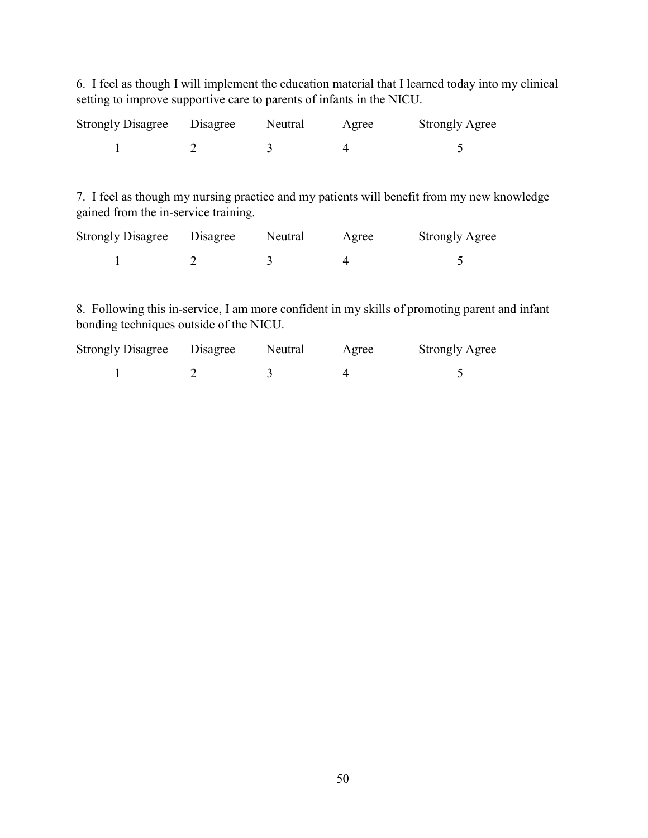6. I feel as though I will implement the education material that I learned today into my clinical setting to improve supportive care to parents of infants in the NICU.

| <b>Strongly Disagree</b> Disagree | Neutral | Agree | <b>Strongly Agree</b> |
|-----------------------------------|---------|-------|-----------------------|
|                                   |         |       |                       |

7. I feel as though my nursing practice and my patients will benefit from my new knowledge gained from the in-service training.

| <b>Strongly Disagree</b> Disagree | Neutral | Agree | <b>Strongly Agree</b> |
|-----------------------------------|---------|-------|-----------------------|
|                                   |         |       |                       |

8. Following this in-service, I am more confident in my skills of promoting parent and infant bonding techniques outside of the NICU.

| <b>Strongly Disagree</b> | Disagree | Neutral | Agree | <b>Strongly Agree</b> |
|--------------------------|----------|---------|-------|-----------------------|
|                          |          |         |       |                       |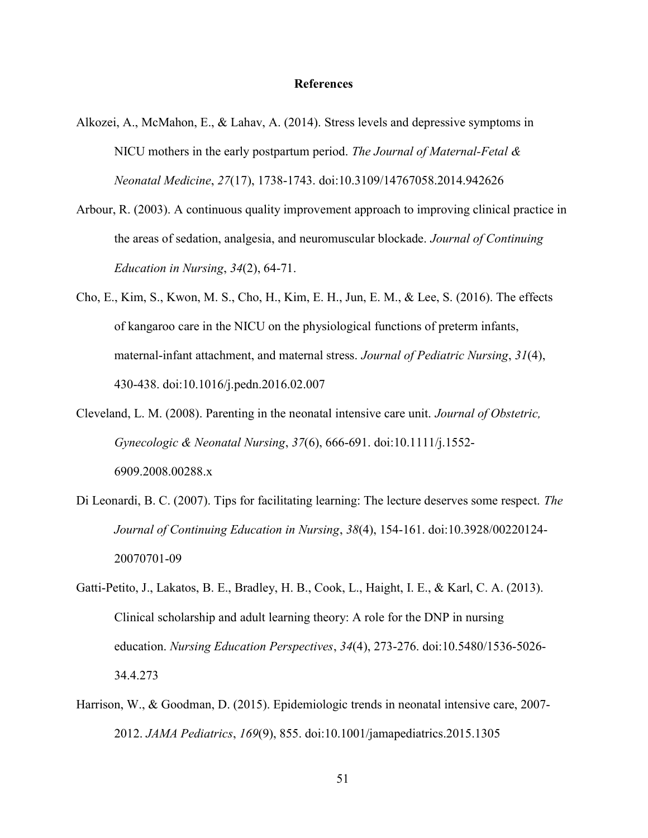#### References

- Alkozei, A., McMahon, E., & Lahav, A. (2014). Stress levels and depressive symptoms in NICU mothers in the early postpartum period. The Journal of Maternal-Fetal & Neonatal Medicine, 27(17), 1738-1743. doi:10.3109/14767058.2014.942626
- Arbour, R. (2003). A continuous quality improvement approach to improving clinical practice in the areas of sedation, analgesia, and neuromuscular blockade. Journal of Continuing Education in Nursing, 34(2), 64-71.
- Cho, E., Kim, S., Kwon, M. S., Cho, H., Kim, E. H., Jun, E. M., & Lee, S. (2016). The effects of kangaroo care in the NICU on the physiological functions of preterm infants, maternal-infant attachment, and maternal stress. Journal of Pediatric Nursing, 31(4), 430-438. doi:10.1016/j.pedn.2016.02.007
- Cleveland, L. M. (2008). Parenting in the neonatal intensive care unit. Journal of Obstetric, Gynecologic & Neonatal Nursing, 37(6), 666-691. doi:10.1111/j.1552- 6909.2008.00288.x
- Di Leonardi, B. C. (2007). Tips for facilitating learning: The lecture deserves some respect. The Journal of Continuing Education in Nursing, 38(4), 154-161. doi:10.3928/00220124- 20070701-09
- Gatti-Petito, J., Lakatos, B. E., Bradley, H. B., Cook, L., Haight, I. E., & Karl, C. A. (2013). Clinical scholarship and adult learning theory: A role for the DNP in nursing education. Nursing Education Perspectives, 34(4), 273-276. doi:10.5480/1536-5026- 34.4.273
- Harrison, W., & Goodman, D. (2015). Epidemiologic trends in neonatal intensive care, 2007- 2012. JAMA Pediatrics, 169(9), 855. doi:10.1001/jamapediatrics.2015.1305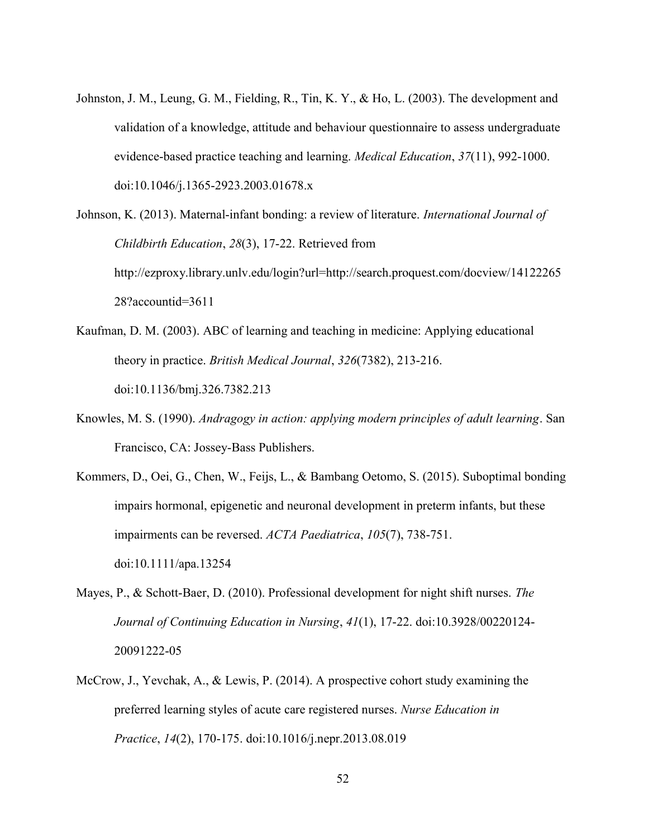- Johnston, J. M., Leung, G. M., Fielding, R., Tin, K. Y., & Ho, L. (2003). The development and validation of a knowledge, attitude and behaviour questionnaire to assess undergraduate evidence-based practice teaching and learning. Medical Education, 37(11), 992-1000. doi:10.1046/j.1365-2923.2003.01678.x
- Johnson, K. (2013). Maternal-infant bonding: a review of literature. International Journal of Childbirth Education, 28(3), 17-22. Retrieved from http://ezproxy.library.unlv.edu/login?url=http://search.proquest.com/docview/14122265 28?accountid=3611
- Kaufman, D. M. (2003). ABC of learning and teaching in medicine: Applying educational theory in practice. British Medical Journal, 326(7382), 213-216. doi:10.1136/bmj.326.7382.213
- Knowles, M. S. (1990). Andragogy in action: applying modern principles of adult learning. San Francisco, CA: Jossey-Bass Publishers.
- Kommers, D., Oei, G., Chen, W., Feijs, L., & Bambang Oetomo, S. (2015). Suboptimal bonding impairs hormonal, epigenetic and neuronal development in preterm infants, but these impairments can be reversed. ACTA Paediatrica, 105(7), 738-751. doi:10.1111/apa.13254
- Mayes, P., & Schott-Baer, D. (2010). Professional development for night shift nurses. The Journal of Continuing Education in Nursing, 41(1), 17-22. doi:10.3928/00220124- 20091222-05
- McCrow, J., Yevchak, A., & Lewis, P. (2014). A prospective cohort study examining the preferred learning styles of acute care registered nurses. Nurse Education in Practice, 14(2), 170-175. doi:10.1016/j.nepr.2013.08.019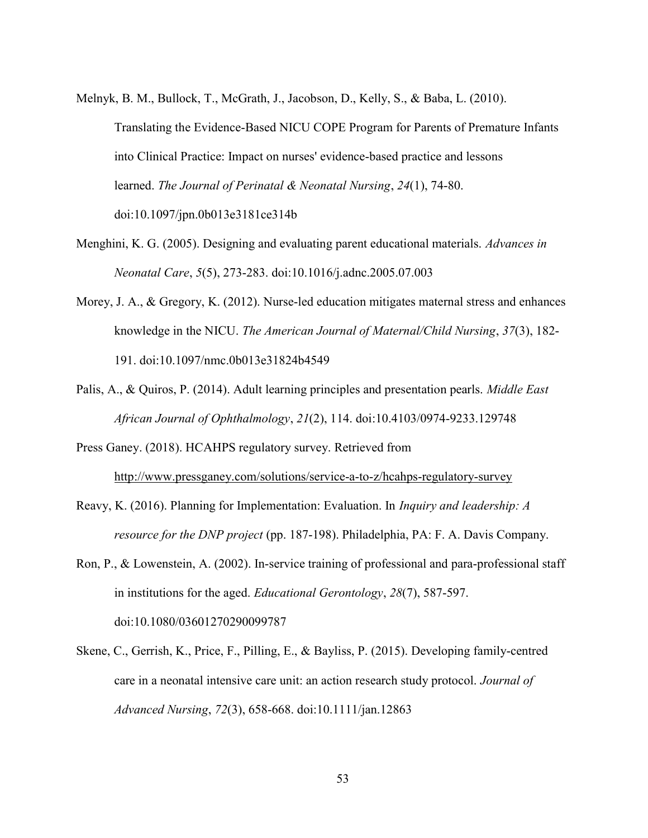- Melnyk, B. M., Bullock, T., McGrath, J., Jacobson, D., Kelly, S., & Baba, L. (2010). Translating the Evidence-Based NICU COPE Program for Parents of Premature Infants into Clinical Practice: Impact on nurses' evidence-based practice and lessons learned. The Journal of Perinatal & Neonatal Nursing, 24(1), 74-80. doi:10.1097/jpn.0b013e3181ce314b
- Menghini, K. G. (2005). Designing and evaluating parent educational materials. Advances in Neonatal Care, 5(5), 273-283. doi:10.1016/j.adnc.2005.07.003
- Morey, J. A., & Gregory, K. (2012). Nurse-led education mitigates maternal stress and enhances knowledge in the NICU. The American Journal of Maternal/Child Nursing, 37(3), 182- 191. doi:10.1097/nmc.0b013e31824b4549
- Palis, A., & Quiros, P. (2014). Adult learning principles and presentation pearls. *Middle East* African Journal of Ophthalmology, 21(2), 114. doi:10.4103/0974-9233.129748
- Press Ganey. (2018). HCAHPS regulatory survey. Retrieved from http://www.pressganey.com/solutions/service-a-to-z/hcahps-regulatory-survey
- Reavy, K. (2016). Planning for Implementation: Evaluation. In Inquiry and leadership: A resource for the DNP project (pp. 187-198). Philadelphia, PA: F. A. Davis Company.
- Ron, P., & Lowenstein, A. (2002). In-service training of professional and para-professional staff in institutions for the aged. Educational Gerontology, 28(7), 587-597. doi:10.1080/03601270290099787
- Skene, C., Gerrish, K., Price, F., Pilling, E., & Bayliss, P. (2015). Developing family-centred care in a neonatal intensive care unit: an action research study protocol. Journal of Advanced Nursing, 72(3), 658-668. doi:10.1111/jan.12863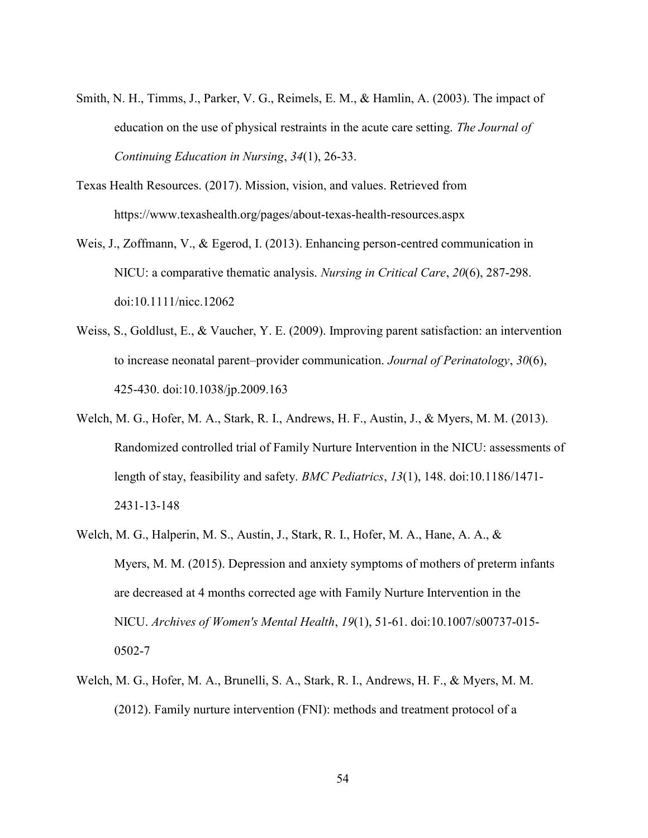- Smith, N. H., Timms, J., Parker, V. G., Reimels, E. M., & Hamlin, A. (2003). The impact of education on the use of physical restraints in the acute care setting. The Journal of Continuing Education in Nursing, 34(1), 26-33.
- Texas Health Resources. (2017). Mission, vision, and values. Retrieved from https://www.texashealth.org/pages/about-texas-health-resources.aspx
- Weis, J., Zoffmann, V., & Egerod, I. (2013). Enhancing person-centred communication in NICU: a comparative thematic analysis. Nursing in Critical Care, 20(6), 287-298. doi:10.1111/nicc.12062
- Weiss, S., Goldlust, E., & Vaucher, Y. E. (2009). Improving parent satisfaction: an intervention to increase neonatal parent–provider communication. Journal of Perinatology,  $30(6)$ , 425-430. doi:10.1038/jp.2009.163
- Welch, M. G., Hofer, M. A., Stark, R. I., Andrews, H. F., Austin, J., & Myers, M. M. (2013). Randomized controlled trial of Family Nurture Intervention in the NICU: assessments of length of stay, feasibility and safety. BMC Pediatrics, 13(1), 148. doi:10.1186/1471- 2431-13-148
- Welch, M. G., Halperin, M. S., Austin, J., Stark, R. I., Hofer, M. A., Hane, A. A., & Myers, M. M. (2015). Depression and anxiety symptoms of mothers of preterm infants are decreased at 4 months corrected age with Family Nurture Intervention in the NICU. Archives of Women's Mental Health, 19(1), 51-61. doi:10.1007/s00737-015- 0502-7
- Welch, M. G., Hofer, M. A., Brunelli, S. A., Stark, R. I., Andrews, H. F., & Myers, M. M. (2012). Family nurture intervention (FNI): methods and treatment protocol of a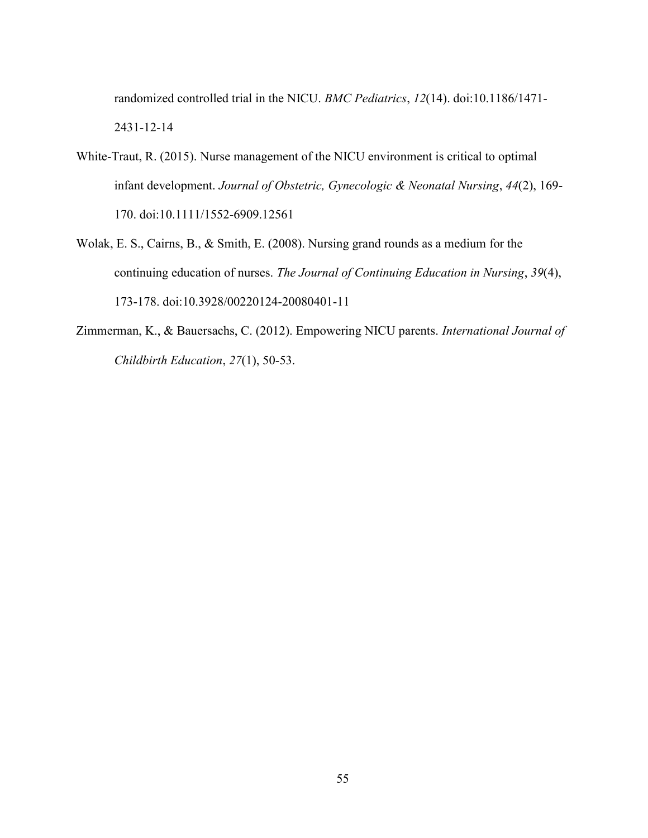randomized controlled trial in the NICU. BMC Pediatrics, 12(14). doi:10.1186/1471- 2431-12-14

- White-Traut, R. (2015). Nurse management of the NICU environment is critical to optimal infant development. Journal of Obstetric, Gynecologic & Neonatal Nursing, 44(2), 169- 170. doi:10.1111/1552-6909.12561
- Wolak, E. S., Cairns, B., & Smith, E. (2008). Nursing grand rounds as a medium for the continuing education of nurses. The Journal of Continuing Education in Nursing, 39(4), 173-178. doi:10.3928/00220124-20080401-11
- Zimmerman, K., & Bauersachs, C. (2012). Empowering NICU parents. International Journal of Childbirth Education, 27(1), 50-53.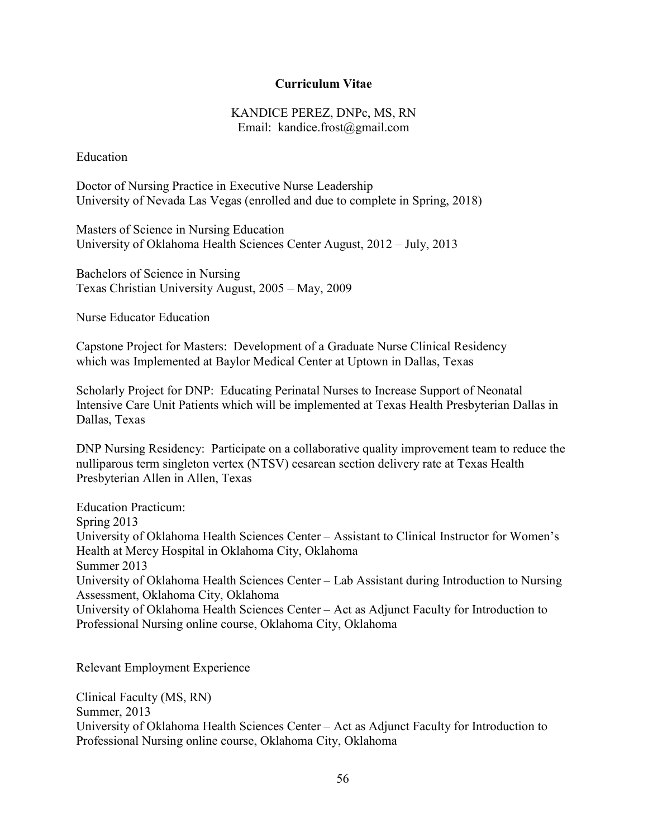#### Curriculum Vitae

#### KANDICE PEREZ, DNPc, MS, RN Email: kandice.frost@gmail.com

Education

Doctor of Nursing Practice in Executive Nurse Leadership University of Nevada Las Vegas (enrolled and due to complete in Spring, 2018)

Masters of Science in Nursing Education University of Oklahoma Health Sciences Center August, 2012 – July, 2013

Bachelors of Science in Nursing Texas Christian University August, 2005 – May, 2009

Nurse Educator Education

Capstone Project for Masters: Development of a Graduate Nurse Clinical Residency which was Implemented at Baylor Medical Center at Uptown in Dallas, Texas

Scholarly Project for DNP: Educating Perinatal Nurses to Increase Support of Neonatal Intensive Care Unit Patients which will be implemented at Texas Health Presbyterian Dallas in Dallas, Texas

DNP Nursing Residency: Participate on a collaborative quality improvement team to reduce the nulliparous term singleton vertex (NTSV) cesarean section delivery rate at Texas Health Presbyterian Allen in Allen, Texas

Education Practicum: Spring 2013 University of Oklahoma Health Sciences Center – Assistant to Clinical Instructor for Women's Health at Mercy Hospital in Oklahoma City, Oklahoma Summer 2013 University of Oklahoma Health Sciences Center – Lab Assistant during Introduction to Nursing Assessment, Oklahoma City, Oklahoma University of Oklahoma Health Sciences Center – Act as Adjunct Faculty for Introduction to Professional Nursing online course, Oklahoma City, Oklahoma

Relevant Employment Experience

Clinical Faculty (MS, RN) Summer, 2013 University of Oklahoma Health Sciences Center – Act as Adjunct Faculty for Introduction to Professional Nursing online course, Oklahoma City, Oklahoma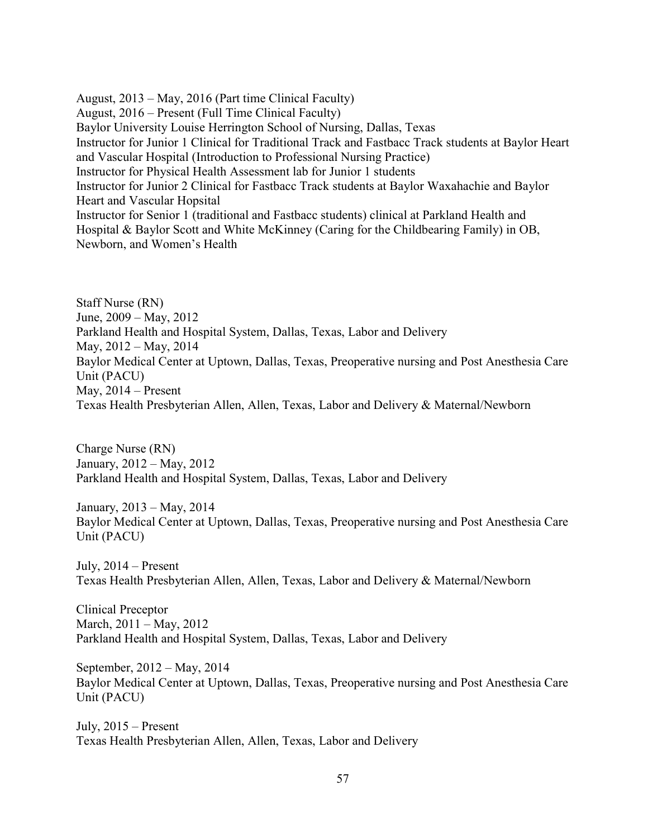August, 2013 – May, 2016 (Part time Clinical Faculty) August, 2016 – Present (Full Time Clinical Faculty) Baylor University Louise Herrington School of Nursing, Dallas, Texas Instructor for Junior 1 Clinical for Traditional Track and Fastbacc Track students at Baylor Heart and Vascular Hospital (Introduction to Professional Nursing Practice) Instructor for Physical Health Assessment lab for Junior 1 students Instructor for Junior 2 Clinical for Fastbacc Track students at Baylor Waxahachie and Baylor Heart and Vascular Hopsital Instructor for Senior 1 (traditional and Fastbacc students) clinical at Parkland Health and Hospital & Baylor Scott and White McKinney (Caring for the Childbearing Family) in OB, Newborn, and Women's Health

Staff Nurse (RN) June, 2009 – May, 2012 Parkland Health and Hospital System, Dallas, Texas, Labor and Delivery May, 2012 – May, 2014 Baylor Medical Center at Uptown, Dallas, Texas, Preoperative nursing and Post Anesthesia Care Unit (PACU) May, 2014 – Present Texas Health Presbyterian Allen, Allen, Texas, Labor and Delivery & Maternal/Newborn

Charge Nurse (RN) January, 2012 – May, 2012 Parkland Health and Hospital System, Dallas, Texas, Labor and Delivery

January, 2013 – May, 2014 Baylor Medical Center at Uptown, Dallas, Texas, Preoperative nursing and Post Anesthesia Care Unit (PACU)

July, 2014 – Present Texas Health Presbyterian Allen, Allen, Texas, Labor and Delivery & Maternal/Newborn

Clinical Preceptor March, 2011 – May, 2012 Parkland Health and Hospital System, Dallas, Texas, Labor and Delivery

September, 2012 – May, 2014 Baylor Medical Center at Uptown, Dallas, Texas, Preoperative nursing and Post Anesthesia Care Unit (PACU)

July, 2015 – Present Texas Health Presbyterian Allen, Allen, Texas, Labor and Delivery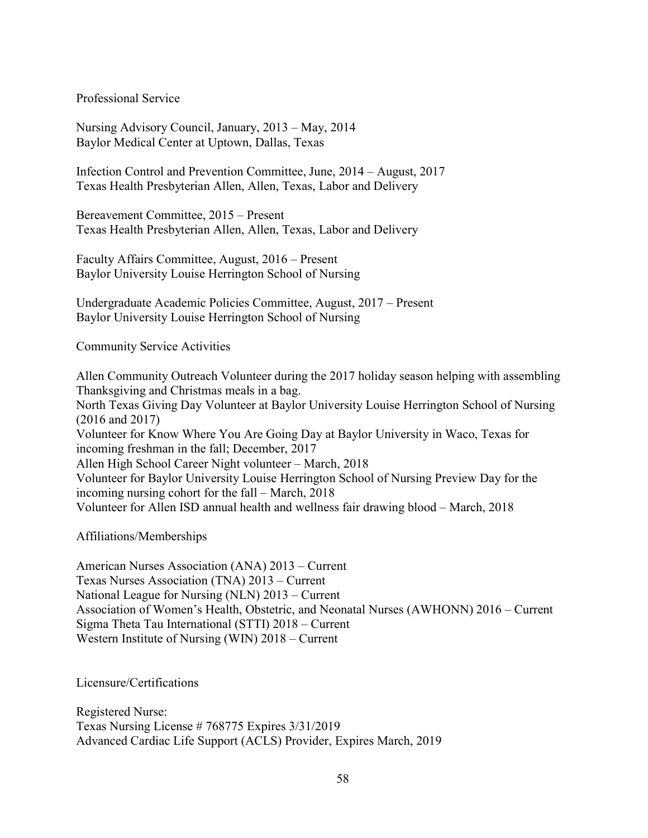Professional Service

Nursing Advisory Council, January, 2013 – May, 2014 Baylor Medical Center at Uptown, Dallas, Texas

Infection Control and Prevention Committee, June, 2014 – August, 2017 Texas Health Presbyterian Allen, Allen, Texas, Labor and Delivery

Bereavement Committee, 2015 – Present Texas Health Presbyterian Allen, Allen, Texas, Labor and Delivery

Faculty Affairs Committee, August, 2016 – Present Baylor University Louise Herrington School of Nursing

Undergraduate Academic Policies Committee, August, 2017 – Present Baylor University Louise Herrington School of Nursing

Community Service Activities

Allen Community Outreach Volunteer during the 2017 holiday season helping with assembling Thanksgiving and Christmas meals in a bag. North Texas Giving Day Volunteer at Baylor University Louise Herrington School of Nursing (2016 and 2017) Volunteer for Know Where You Are Going Day at Baylor University in Waco, Texas for incoming freshman in the fall; December, 2017 Allen High School Career Night volunteer – March, 2018 Volunteer for Baylor University Louise Herrington School of Nursing Preview Day for the incoming nursing cohort for the fall – March, 2018 Volunteer for Allen ISD annual health and wellness fair drawing blood – March, 2018

Affiliations/Memberships

American Nurses Association (ANA) 2013 – Current Texas Nurses Association (TNA) 2013 – Current National League for Nursing (NLN) 2013 – Current Association of Women's Health, Obstetric, and Neonatal Nurses (AWHONN) 2016 – Current Sigma Theta Tau International (STTI) 2018 – Current Western Institute of Nursing (WIN) 2018 – Current

Licensure/Certifications

Registered Nurse: Texas Nursing License # 768775 Expires 3/31/2019 Advanced Cardiac Life Support (ACLS) Provider, Expires March, 2019